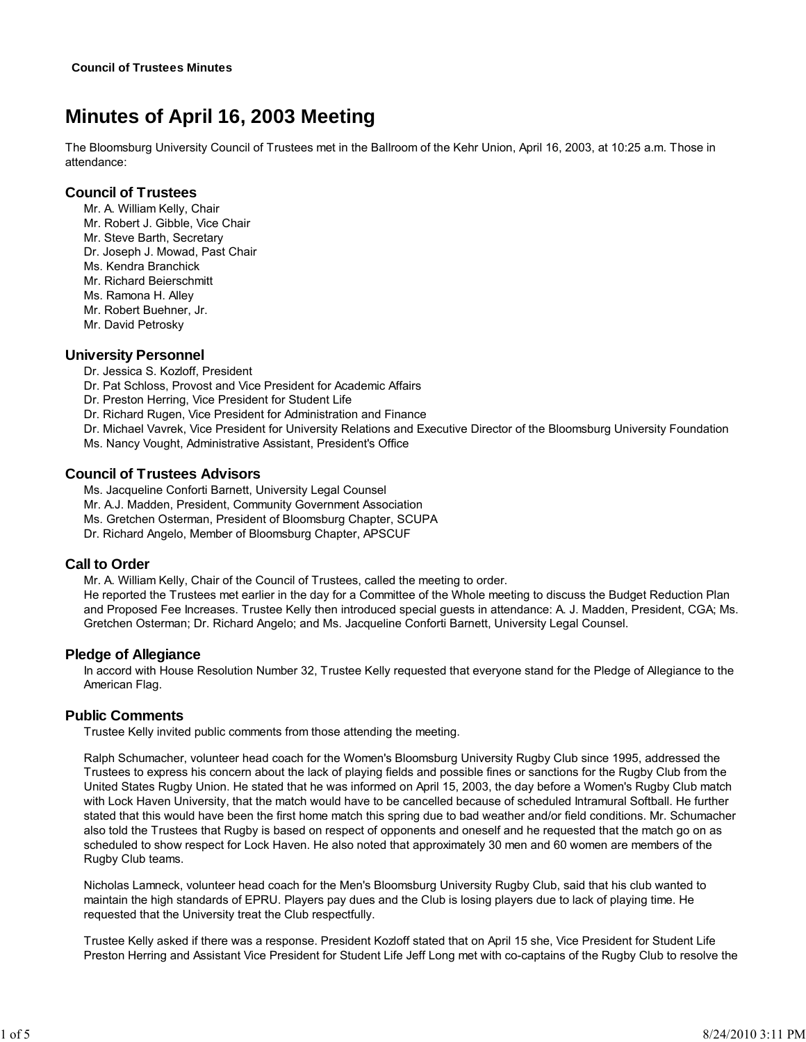# **Minutes of April 16, 2003 Meeting**

The Bloomsburg University Council of Trustees met in the Ballroom of the Kehr Union, April 16, 2003, at 10:25 a.m. Those in attendance:

# **Council of Trustees**

- Mr. A. William Kelly, Chair
- Mr. Robert J. Gibble, Vice Chair
- Mr. Steve Barth, Secretary
- Dr. Joseph J. Mowad, Past Chair
- Ms. Kendra Branchick
- Mr. Richard Beierschmitt
- Ms. Ramona H. Alley
- Mr. Robert Buehner, Jr.
- Mr. David Petrosky

# **University Personnel**

- Dr. Jessica S. Kozloff, President
- Dr. Pat Schloss, Provost and Vice President for Academic Affairs
- Dr. Preston Herring, Vice President for Student Life
- Dr. Richard Rugen, Vice President for Administration and Finance
- Dr. Michael Vavrek, Vice President for University Relations and Executive Director of the Bloomsburg University Foundation
- Ms. Nancy Vought, Administrative Assistant, President's Office

# **Council of Trustees Advisors**

Ms. Jacqueline Conforti Barnett, University Legal Counsel

- Mr. A.J. Madden, President, Community Government Association
- Ms. Gretchen Osterman, President of Bloomsburg Chapter, SCUPA
- Dr. Richard Angelo, Member of Bloomsburg Chapter, APSCUF

# **Call to Order**

Mr. A. William Kelly, Chair of the Council of Trustees, called the meeting to order. He reported the Trustees met earlier in the day for a Committee of the Whole meeting to discuss the Budget Reduction Plan and Proposed Fee Increases. Trustee Kelly then introduced special guests in attendance: A. J. Madden, President, CGA; Ms. Gretchen Osterman; Dr. Richard Angelo; and Ms. Jacqueline Conforti Barnett, University Legal Counsel.

# **Pledge of Allegiance**

In accord with House Resolution Number 32, Trustee Kelly requested that everyone stand for the Pledge of Allegiance to the American Flag.

# **Public Comments**

Trustee Kelly invited public comments from those attending the meeting.

Ralph Schumacher, volunteer head coach for the Women's Bloomsburg University Rugby Club since 1995, addressed the Trustees to express his concern about the lack of playing fields and possible fines or sanctions for the Rugby Club from the United States Rugby Union. He stated that he was informed on April 15, 2003, the day before a Women's Rugby Club match with Lock Haven University, that the match would have to be cancelled because of scheduled Intramural Softball. He further stated that this would have been the first home match this spring due to bad weather and/or field conditions. Mr. Schumacher also told the Trustees that Rugby is based on respect of opponents and oneself and he requested that the match go on as scheduled to show respect for Lock Haven. He also noted that approximately 30 men and 60 women are members of the Rugby Club teams.

Nicholas Lamneck, volunteer head coach for the Men's Bloomsburg University Rugby Club, said that his club wanted to maintain the high standards of EPRU. Players pay dues and the Club is losing players due to lack of playing time. He requested that the University treat the Club respectfully.

Trustee Kelly asked if there was a response. President Kozloff stated that on April 15 she, Vice President for Student Life Preston Herring and Assistant Vice President for Student Life Jeff Long met with co-captains of the Rugby Club to resolve the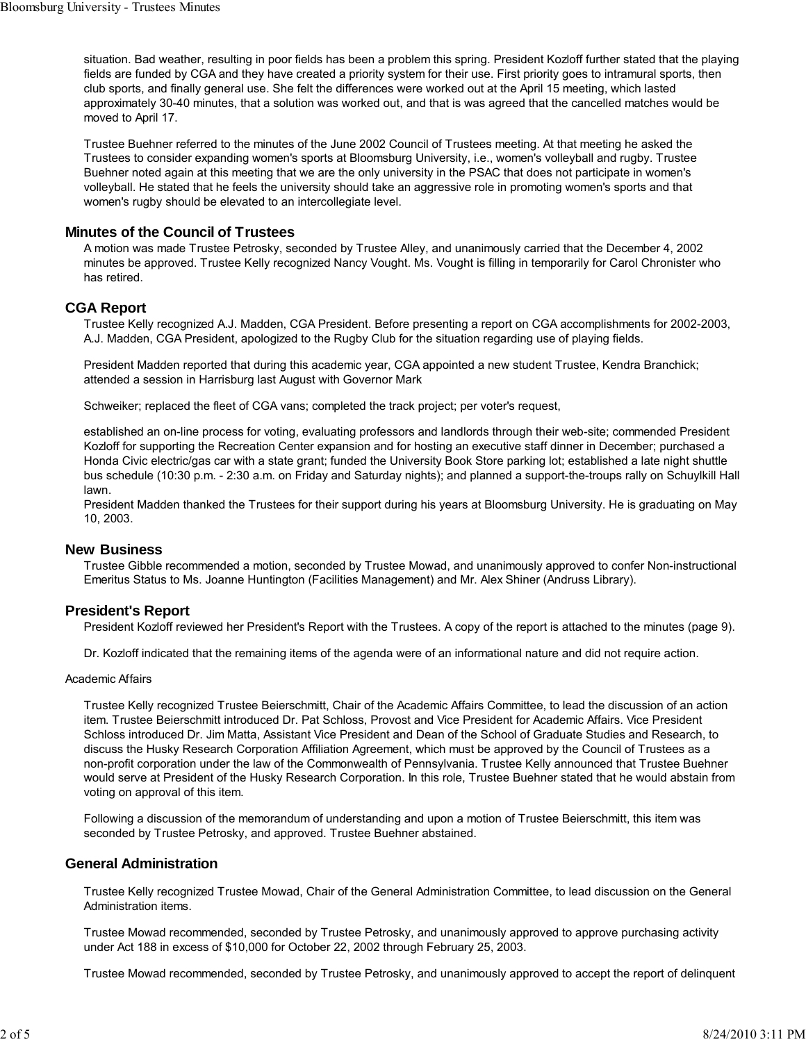situation. Bad weather, resulting in poor fields has been a problem this spring. President Kozloff further stated that the playing fields are funded by CGA and they have created a priority system for their use. First priority goes to intramural sports, then club sports, and finally general use. She felt the differences were worked out at the April 15 meeting, which lasted approximately 30-40 minutes, that a solution was worked out, and that is was agreed that the cancelled matches would be moved to April 17.

Trustee Buehner referred to the minutes of the June 2002 Council of Trustees meeting. At that meeting he asked the Trustees to consider expanding women's sports at Bloomsburg University, i.e., women's volleyball and rugby. Trustee Buehner noted again at this meeting that we are the only university in the PSAC that does not participate in women's volleyball. He stated that he feels the university should take an aggressive role in promoting women's sports and that women's rugby should be elevated to an intercollegiate level.

# **Minutes of the Council of Trustees**

A motion was made Trustee Petrosky, seconded by Trustee Alley, and unanimously carried that the December 4, 2002 minutes be approved. Trustee Kelly recognized Nancy Vought. Ms. Vought is filling in temporarily for Carol Chronister who has retired.

# **CGA Report**

Trustee Kelly recognized A.J. Madden, CGA President. Before presenting a report on CGA accomplishments for 2002-2003, A.J. Madden, CGA President, apologized to the Rugby Club for the situation regarding use of playing fields.

President Madden reported that during this academic year, CGA appointed a new student Trustee, Kendra Branchick; attended a session in Harrisburg last August with Governor Mark

Schweiker; replaced the fleet of CGA vans; completed the track project; per voter's request,

established an on-line process for voting, evaluating professors and landlords through their web-site; commended President Kozloff for supporting the Recreation Center expansion and for hosting an executive staff dinner in December; purchased a Honda Civic electric/gas car with a state grant; funded the University Book Store parking lot; established a late night shuttle bus schedule (10:30 p.m. - 2:30 a.m. on Friday and Saturday nights); and planned a support-the-troups rally on Schuylkill Hall lawn.

President Madden thanked the Trustees for their support during his years at Bloomsburg University. He is graduating on May 10, 2003.

#### **New Business**

Trustee Gibble recommended a motion, seconded by Trustee Mowad, and unanimously approved to confer Non-instructional Emeritus Status to Ms. Joanne Huntington (Facilities Management) and Mr. Alex Shiner (Andruss Library).

# **President's Report**

President Kozloff reviewed her President's Report with the Trustees. A copy of the report is attached to the minutes (page 9).

Dr. Kozloff indicated that the remaining items of the agenda were of an informational nature and did not require action.

#### Academic Affairs

Trustee Kelly recognized Trustee Beierschmitt, Chair of the Academic Affairs Committee, to lead the discussion of an action item. Trustee Beierschmitt introduced Dr. Pat Schloss, Provost and Vice President for Academic Affairs. Vice President Schloss introduced Dr. Jim Matta, Assistant Vice President and Dean of the School of Graduate Studies and Research, to discuss the Husky Research Corporation Affiliation Agreement, which must be approved by the Council of Trustees as a non-profit corporation under the law of the Commonwealth of Pennsylvania. Trustee Kelly announced that Trustee Buehner would serve at President of the Husky Research Corporation. In this role, Trustee Buehner stated that he would abstain from voting on approval of this item.

Following a discussion of the memorandum of understanding and upon a motion of Trustee Beierschmitt, this item was seconded by Trustee Petrosky, and approved. Trustee Buehner abstained.

# **General Administration**

Trustee Kelly recognized Trustee Mowad, Chair of the General Administration Committee, to lead discussion on the General Administration items.

Trustee Mowad recommended, seconded by Trustee Petrosky, and unanimously approved to approve purchasing activity under Act 188 in excess of \$10,000 for October 22, 2002 through February 25, 2003.

Trustee Mowad recommended, seconded by Trustee Petrosky, and unanimously approved to accept the report of delinquent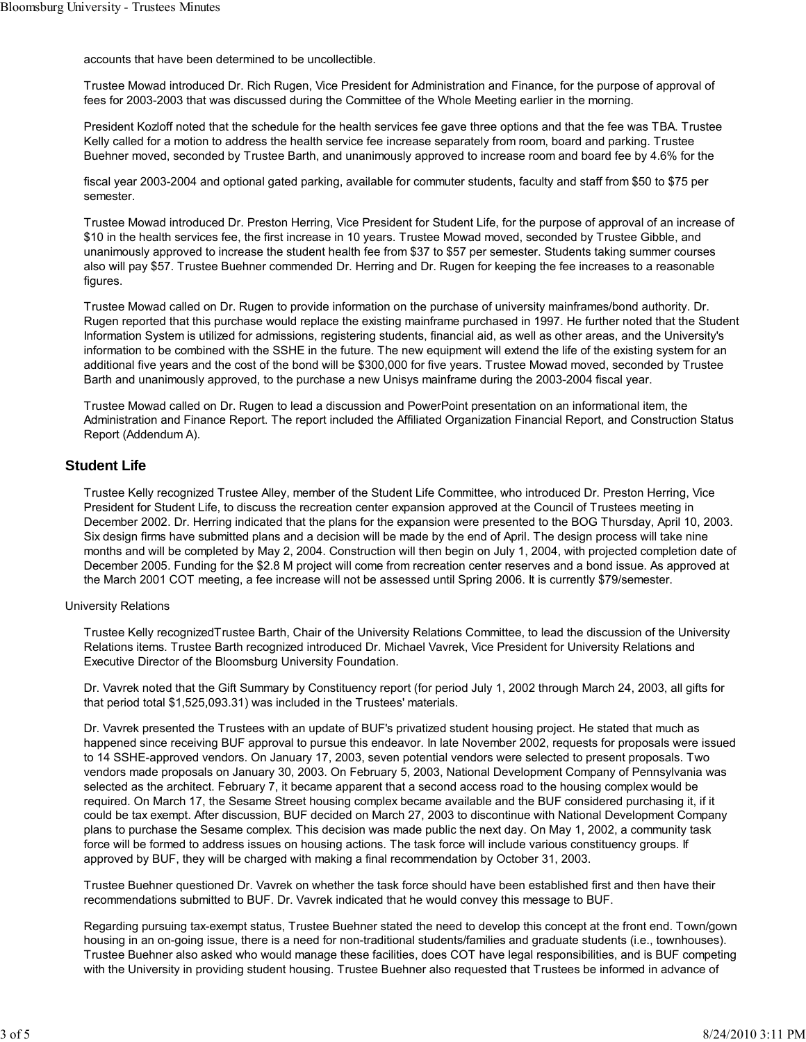accounts that have been determined to be uncollectible.

Trustee Mowad introduced Dr. Rich Rugen, Vice President for Administration and Finance, for the purpose of approval of fees for 2003-2003 that was discussed during the Committee of the Whole Meeting earlier in the morning.

President Kozloff noted that the schedule for the health services fee gave three options and that the fee was TBA. Trustee Kelly called for a motion to address the health service fee increase separately from room, board and parking. Trustee Buehner moved, seconded by Trustee Barth, and unanimously approved to increase room and board fee by 4.6% for the

fiscal year 2003-2004 and optional gated parking, available for commuter students, faculty and staff from \$50 to \$75 per semester.

Trustee Mowad introduced Dr. Preston Herring, Vice President for Student Life, for the purpose of approval of an increase of \$10 in the health services fee, the first increase in 10 years. Trustee Mowad moved, seconded by Trustee Gibble, and unanimously approved to increase the student health fee from \$37 to \$57 per semester. Students taking summer courses also will pay \$57. Trustee Buehner commended Dr. Herring and Dr. Rugen for keeping the fee increases to a reasonable figures.

Trustee Mowad called on Dr. Rugen to provide information on the purchase of university mainframes/bond authority. Dr. Rugen reported that this purchase would replace the existing mainframe purchased in 1997. He further noted that the Student Information System is utilized for admissions, registering students, financial aid, as well as other areas, and the University's information to be combined with the SSHE in the future. The new equipment will extend the life of the existing system for an additional five years and the cost of the bond will be \$300,000 for five years. Trustee Mowad moved, seconded by Trustee Barth and unanimously approved, to the purchase a new Unisys mainframe during the 2003-2004 fiscal year.

Trustee Mowad called on Dr. Rugen to lead a discussion and PowerPoint presentation on an informational item, the Administration and Finance Report. The report included the Affiliated Organization Financial Report, and Construction Status Report (Addendum A).

# **Student Life**

Trustee Kelly recognized Trustee Alley, member of the Student Life Committee, who introduced Dr. Preston Herring, Vice President for Student Life, to discuss the recreation center expansion approved at the Council of Trustees meeting in December 2002. Dr. Herring indicated that the plans for the expansion were presented to the BOG Thursday, April 10, 2003. Six design firms have submitted plans and a decision will be made by the end of April. The design process will take nine months and will be completed by May 2, 2004. Construction will then begin on July 1, 2004, with projected completion date of December 2005. Funding for the \$2.8 M project will come from recreation center reserves and a bond issue. As approved at the March 2001 COT meeting, a fee increase will not be assessed until Spring 2006. It is currently \$79/semester.

#### University Relations

Trustee Kelly recognizedTrustee Barth, Chair of the University Relations Committee, to lead the discussion of the University Relations items. Trustee Barth recognized introduced Dr. Michael Vavrek, Vice President for University Relations and Executive Director of the Bloomsburg University Foundation.

Dr. Vavrek noted that the Gift Summary by Constituency report (for period July 1, 2002 through March 24, 2003, all gifts for that period total \$1,525,093.31) was included in the Trustees' materials.

Dr. Vavrek presented the Trustees with an update of BUF's privatized student housing project. He stated that much as happened since receiving BUF approval to pursue this endeavor. In late November 2002, requests for proposals were issued to 14 SSHE-approved vendors. On January 17, 2003, seven potential vendors were selected to present proposals. Two vendors made proposals on January 30, 2003. On February 5, 2003, National Development Company of Pennsylvania was selected as the architect. February 7, it became apparent that a second access road to the housing complex would be required. On March 17, the Sesame Street housing complex became available and the BUF considered purchasing it, if it could be tax exempt. After discussion, BUF decided on March 27, 2003 to discontinue with National Development Company plans to purchase the Sesame complex. This decision was made public the next day. On May 1, 2002, a community task force will be formed to address issues on housing actions. The task force will include various constituency groups. If approved by BUF, they will be charged with making a final recommendation by October 31, 2003.

Trustee Buehner questioned Dr. Vavrek on whether the task force should have been established first and then have their recommendations submitted to BUF. Dr. Vavrek indicated that he would convey this message to BUF.

Regarding pursuing tax-exempt status, Trustee Buehner stated the need to develop this concept at the front end. Town/gown housing in an on-going issue, there is a need for non-traditional students/families and graduate students (i.e., townhouses). Trustee Buehner also asked who would manage these facilities, does COT have legal responsibilities, and is BUF competing with the University in providing student housing. Trustee Buehner also requested that Trustees be informed in advance of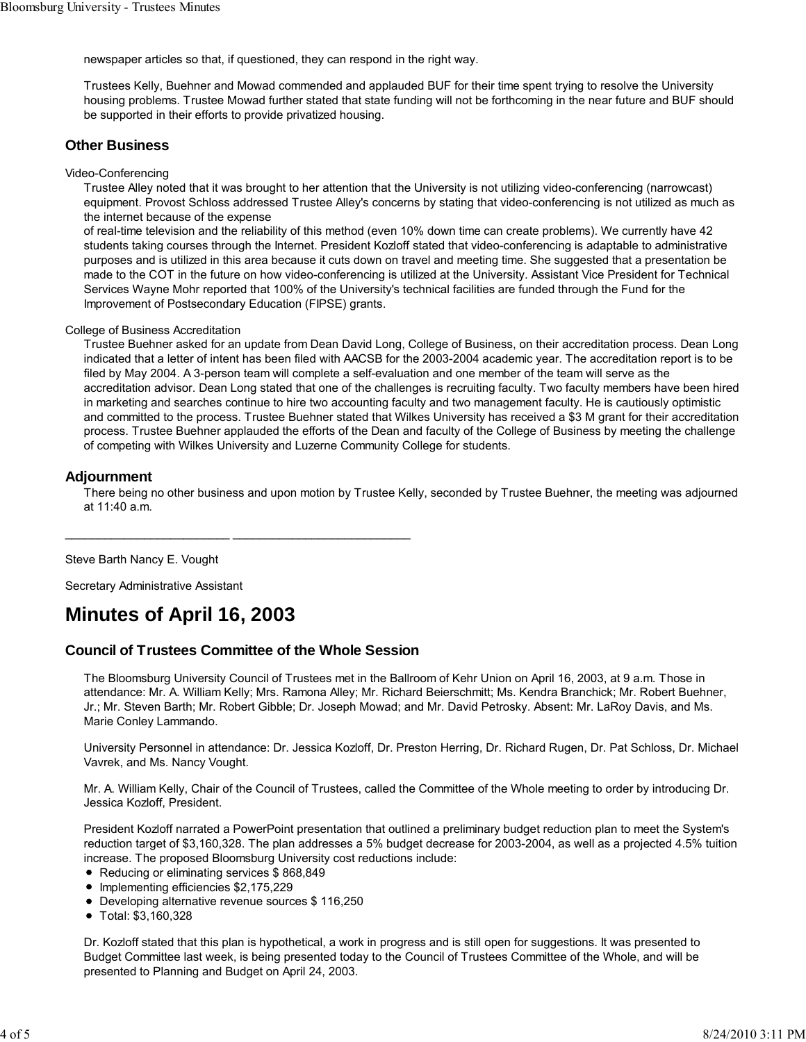newspaper articles so that, if questioned, they can respond in the right way.

Trustees Kelly, Buehner and Mowad commended and applauded BUF for their time spent trying to resolve the University housing problems. Trustee Mowad further stated that state funding will not be forthcoming in the near future and BUF should be supported in their efforts to provide privatized housing.

# **Other Business**

#### Video-Conferencing

Trustee Alley noted that it was brought to her attention that the University is not utilizing video-conferencing (narrowcast) equipment. Provost Schloss addressed Trustee Alley's concerns by stating that video-conferencing is not utilized as much as the internet because of the expense

of real-time television and the reliability of this method (even 10% down time can create problems). We currently have 42 students taking courses through the Internet. President Kozloff stated that video-conferencing is adaptable to administrative purposes and is utilized in this area because it cuts down on travel and meeting time. She suggested that a presentation be made to the COT in the future on how video-conferencing is utilized at the University. Assistant Vice President for Technical Services Wayne Mohr reported that 100% of the University's technical facilities are funded through the Fund for the Improvement of Postsecondary Education (FIPSE) grants.

#### College of Business Accreditation

Trustee Buehner asked for an update from Dean David Long, College of Business, on their accreditation process. Dean Long indicated that a letter of intent has been filed with AACSB for the 2003-2004 academic year. The accreditation report is to be filed by May 2004. A 3-person team will complete a self-evaluation and one member of the team will serve as the accreditation advisor. Dean Long stated that one of the challenges is recruiting faculty. Two faculty members have been hired in marketing and searches continue to hire two accounting faculty and two management faculty. He is cautiously optimistic and committed to the process. Trustee Buehner stated that Wilkes University has received a \$3 M grant for their accreditation process. Trustee Buehner applauded the efforts of the Dean and faculty of the College of Business by meeting the challenge of competing with Wilkes University and Luzerne Community College for students.

## **Adjournment**

There being no other business and upon motion by Trustee Kelly, seconded by Trustee Buehner, the meeting was adjourned at 11:40 a.m.

Steve Barth Nancy E. Vought

Secretary Administrative Assistant

# **Minutes of April 16, 2003**

# **Council of Trustees Committee of the Whole Session**

\_\_\_\_\_\_\_\_\_\_\_\_\_\_\_\_\_\_\_\_\_\_\_\_\_ \_\_\_\_\_\_\_\_\_\_\_\_\_\_\_\_\_\_\_\_\_\_\_\_\_\_\_

The Bloomsburg University Council of Trustees met in the Ballroom of Kehr Union on April 16, 2003, at 9 a.m. Those in attendance: Mr. A. William Kelly; Mrs. Ramona Alley; Mr. Richard Beierschmitt; Ms. Kendra Branchick; Mr. Robert Buehner, Jr.; Mr. Steven Barth; Mr. Robert Gibble; Dr. Joseph Mowad; and Mr. David Petrosky. Absent: Mr. LaRoy Davis, and Ms. Marie Conley Lammando.

University Personnel in attendance: Dr. Jessica Kozloff, Dr. Preston Herring, Dr. Richard Rugen, Dr. Pat Schloss, Dr. Michael Vavrek, and Ms. Nancy Vought.

Mr. A. William Kelly, Chair of the Council of Trustees, called the Committee of the Whole meeting to order by introducing Dr. Jessica Kozloff, President.

President Kozloff narrated a PowerPoint presentation that outlined a preliminary budget reduction plan to meet the System's reduction target of \$3,160,328. The plan addresses a 5% budget decrease for 2003-2004, as well as a projected 4.5% tuition increase. The proposed Bloomsburg University cost reductions include:

- Reducing or eliminating services \$868,849
- Implementing efficiencies \$2,175,229
- Developing alternative revenue sources \$ 116,250
- Total: \$3,160,328

Dr. Kozloff stated that this plan is hypothetical, a work in progress and is still open for suggestions. It was presented to Budget Committee last week, is being presented today to the Council of Trustees Committee of the Whole, and will be presented to Planning and Budget on April 24, 2003.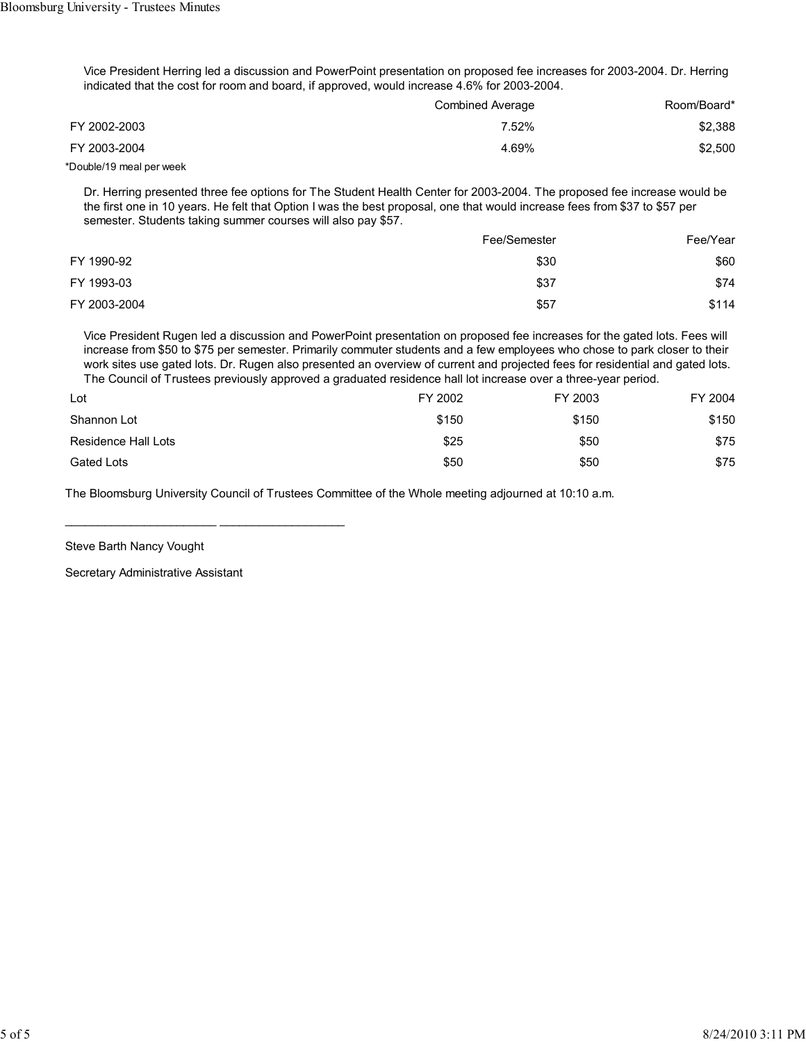Vice President Herring led a discussion and PowerPoint presentation on proposed fee increases for 2003-2004. Dr. Herring indicated that the cost for room and board, if approved, would increase 4.6% for 2003-2004.

|              | Combined Average | Room/Board* |
|--------------|------------------|-------------|
| FY 2002-2003 | 7.52%            | \$2,388     |
| FY 2003-2004 | 4.69%            | \$2,500     |

\*Double/19 meal per week

Dr. Herring presented three fee options for The Student Health Center for 2003-2004. The proposed fee increase would be the first one in 10 years. He felt that Option I was the best proposal, one that would increase fees from \$37 to \$57 per semester. Students taking summer courses will also pay \$57.

|              | Fee/Semester | Fee/Year |  |
|--------------|--------------|----------|--|
| FY 1990-92   | \$30         | \$60     |  |
| FY 1993-03   | \$37         | \$74     |  |
| FY 2003-2004 | \$57         | \$114    |  |

Vice President Rugen led a discussion and PowerPoint presentation on proposed fee increases for the gated lots. Fees will increase from \$50 to \$75 per semester. Primarily commuter students and a few employees who chose to park closer to their work sites use gated lots. Dr. Rugen also presented an overview of current and projected fees for residential and gated lots. The Council of Trustees previously approved a graduated residence hall lot increase over a three-year period.

| Lot                 | FY 2002 | FY 2003 | FY 2004 |
|---------------------|---------|---------|---------|
| Shannon Lot         | \$150   | \$150   | \$150   |
| Residence Hall Lots | \$25    | \$50    | \$75    |
| Gated Lots          | \$50    | \$50    | \$75    |

The Bloomsburg University Council of Trustees Committee of the Whole meeting adjourned at 10:10 a.m.

Steve Barth Nancy Vought

Secretary Administrative Assistant

\_\_\_\_\_\_\_\_\_\_\_\_\_\_\_\_\_\_\_\_\_\_\_ \_\_\_\_\_\_\_\_\_\_\_\_\_\_\_\_\_\_\_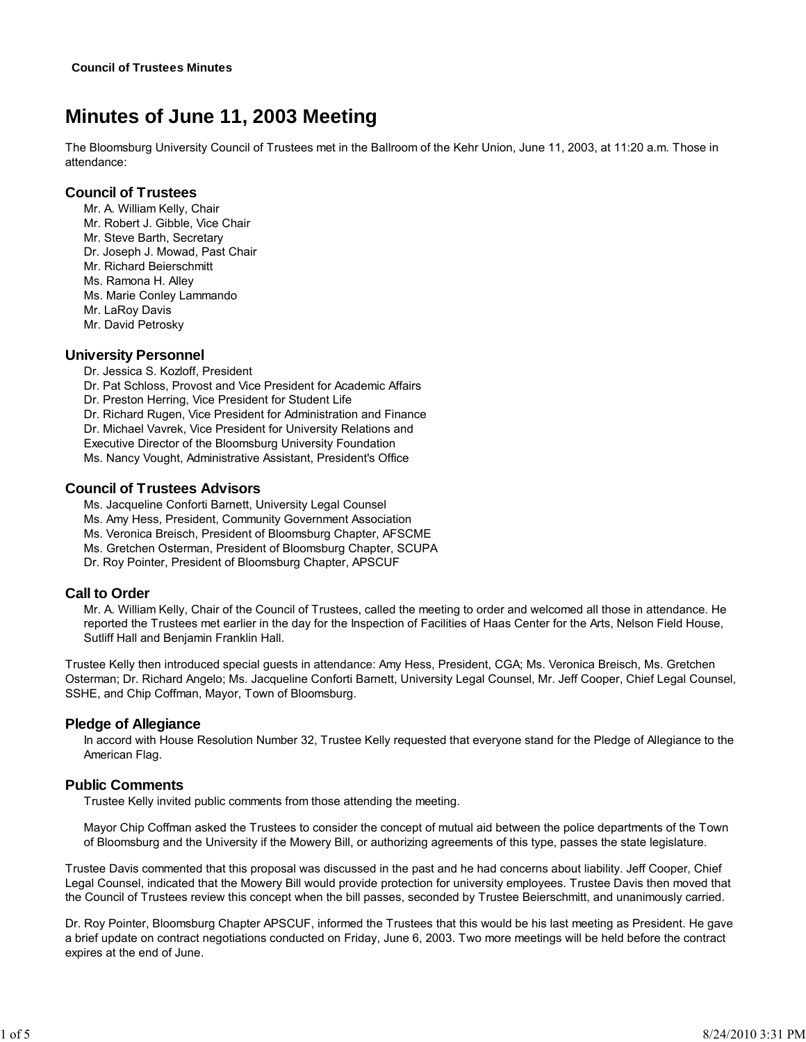# **Minutes of June 11, 2003 Meeting**

The Bloomsburg University Council of Trustees met in the Ballroom of the Kehr Union, June 11, 2003, at 11:20 a.m. Those in attendance:

# **Council of Trustees**

Mr. A. William Kelly, Chair

- Mr. Robert J. Gibble, Vice Chair
- Mr. Steve Barth, Secretary
- Dr. Joseph J. Mowad, Past Chair
- Mr. Richard Beierschmitt
- Ms. Ramona H. Alley
- Ms. Marie Conley Lammando
- Mr. LaRoy Davis
- Mr. David Petrosky

# **University Personnel**

Dr. Jessica S. Kozloff, President Dr. Pat Schloss, Provost and Vice President for Academic Affairs Dr. Preston Herring, Vice President for Student Life Dr. Richard Rugen, Vice President for Administration and Finance Dr. Michael Vavrek, Vice President for University Relations and

Executive Director of the Bloomsburg University Foundation Ms. Nancy Vought, Administrative Assistant, President's Office

# **Council of Trustees Advisors**

Ms. Jacqueline Conforti Barnett, University Legal Counsel Ms. Amy Hess, President, Community Government Association Ms. Veronica Breisch, President of Bloomsburg Chapter, AFSCME Ms. Gretchen Osterman, President of Bloomsburg Chapter, SCUPA

Dr. Roy Pointer, President of Bloomsburg Chapter, APSCUF

# **Call to Order**

Mr. A. William Kelly, Chair of the Council of Trustees, called the meeting to order and welcomed all those in attendance. He reported the Trustees met earlier in the day for the Inspection of Facilities of Haas Center for the Arts, Nelson Field House, Sutliff Hall and Benjamin Franklin Hall.

Trustee Kelly then introduced special guests in attendance: Amy Hess, President, CGA; Ms. Veronica Breisch, Ms. Gretchen Osterman; Dr. Richard Angelo; Ms. Jacqueline Conforti Barnett, University Legal Counsel, Mr. Jeff Cooper, Chief Legal Counsel, SSHE, and Chip Coffman, Mayor, Town of Bloomsburg.

# **Pledge of Allegiance**

In accord with House Resolution Number 32, Trustee Kelly requested that everyone stand for the Pledge of Allegiance to the American Flag.

# **Public Comments**

Trustee Kelly invited public comments from those attending the meeting.

Mayor Chip Coffman asked the Trustees to consider the concept of mutual aid between the police departments of the Town of Bloomsburg and the University if the Mowery Bill, or authorizing agreements of this type, passes the state legislature.

Trustee Davis commented that this proposal was discussed in the past and he had concerns about liability. Jeff Cooper, Chief Legal Counsel, indicated that the Mowery Bill would provide protection for university employees. Trustee Davis then moved that the Council of Trustees review this concept when the bill passes, seconded by Trustee Beierschmitt, and unanimously carried.

Dr. Roy Pointer, Bloomsburg Chapter APSCUF, informed the Trustees that this would be his last meeting as President. He gave a brief update on contract negotiations conducted on Friday, June 6, 2003. Two more meetings will be held before the contract expires at the end of June.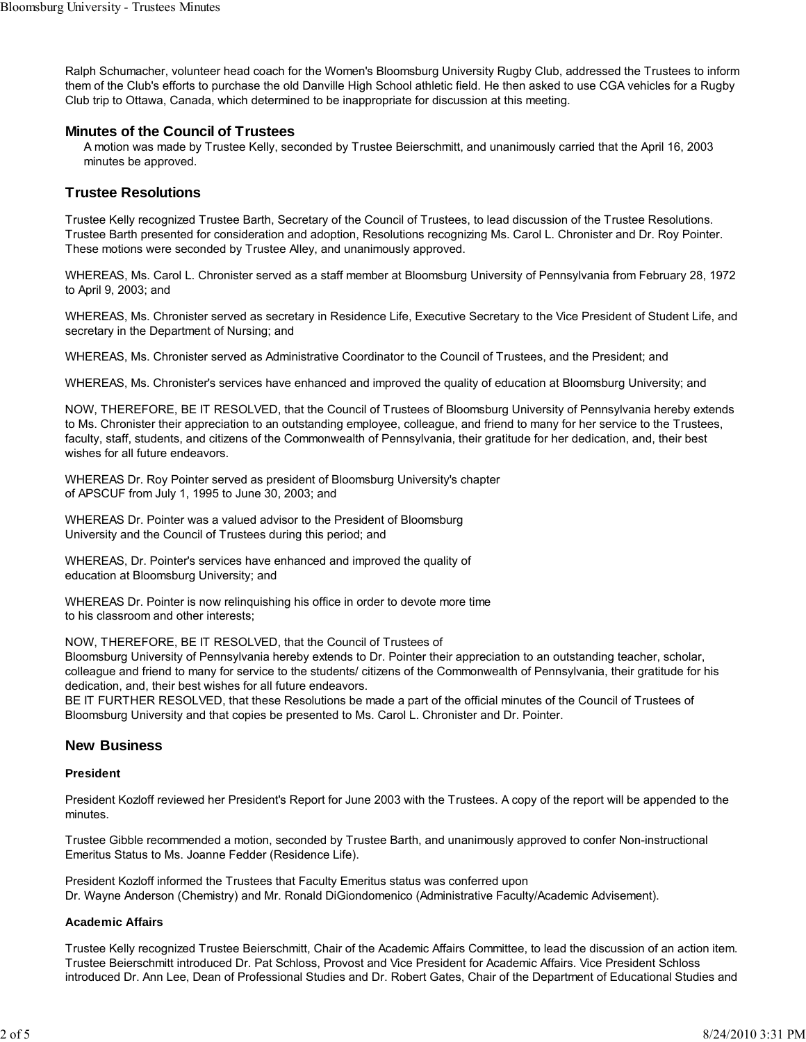Ralph Schumacher, volunteer head coach for the Women's Bloomsburg University Rugby Club, addressed the Trustees to inform them of the Club's efforts to purchase the old Danville High School athletic field. He then asked to use CGA vehicles for a Rugby Club trip to Ottawa, Canada, which determined to be inappropriate for discussion at this meeting.

# **Minutes of the Council of Trustees**

A motion was made by Trustee Kelly, seconded by Trustee Beierschmitt, and unanimously carried that the April 16, 2003 minutes be approved.

# **Trustee Resolutions**

Trustee Kelly recognized Trustee Barth, Secretary of the Council of Trustees, to lead discussion of the Trustee Resolutions. Trustee Barth presented for consideration and adoption, Resolutions recognizing Ms. Carol L. Chronister and Dr. Roy Pointer. These motions were seconded by Trustee Alley, and unanimously approved.

WHEREAS, Ms. Carol L. Chronister served as a staff member at Bloomsburg University of Pennsylvania from February 28, 1972 to April 9, 2003; and

WHEREAS, Ms. Chronister served as secretary in Residence Life, Executive Secretary to the Vice President of Student Life, and secretary in the Department of Nursing; and

WHEREAS, Ms. Chronister served as Administrative Coordinator to the Council of Trustees, and the President; and

WHEREAS, Ms. Chronister's services have enhanced and improved the quality of education at Bloomsburg University; and

NOW, THEREFORE, BE IT RESOLVED, that the Council of Trustees of Bloomsburg University of Pennsylvania hereby extends to Ms. Chronister their appreciation to an outstanding employee, colleague, and friend to many for her service to the Trustees, faculty, staff, students, and citizens of the Commonwealth of Pennsylvania, their gratitude for her dedication, and, their best wishes for all future endeavors.

WHEREAS Dr. Roy Pointer served as president of Bloomsburg University's chapter of APSCUF from July 1, 1995 to June 30, 2003; and

WHEREAS Dr. Pointer was a valued advisor to the President of Bloomsburg University and the Council of Trustees during this period; and

WHEREAS, Dr. Pointer's services have enhanced and improved the quality of education at Bloomsburg University; and

WHEREAS Dr. Pointer is now relinquishing his office in order to devote more time to his classroom and other interests;

NOW, THEREFORE, BE IT RESOLVED, that the Council of Trustees of

Bloomsburg University of Pennsylvania hereby extends to Dr. Pointer their appreciation to an outstanding teacher, scholar, colleague and friend to many for service to the students/ citizens of the Commonwealth of Pennsylvania, their gratitude for his dedication, and, their best wishes for all future endeavors.

BE IT FURTHER RESOLVED, that these Resolutions be made a part of the official minutes of the Council of Trustees of Bloomsburg University and that copies be presented to Ms. Carol L. Chronister and Dr. Pointer.

# **New Business**

#### **President**

President Kozloff reviewed her President's Report for June 2003 with the Trustees. A copy of the report will be appended to the minutes.

Trustee Gibble recommended a motion, seconded by Trustee Barth, and unanimously approved to confer Non-instructional Emeritus Status to Ms. Joanne Fedder (Residence Life).

President Kozloff informed the Trustees that Faculty Emeritus status was conferred upon Dr. Wayne Anderson (Chemistry) and Mr. Ronald DiGiondomenico (Administrative Faculty/Academic Advisement).

# **Academic Affairs**

Trustee Kelly recognized Trustee Beierschmitt, Chair of the Academic Affairs Committee, to lead the discussion of an action item. Trustee Beierschmitt introduced Dr. Pat Schloss, Provost and Vice President for Academic Affairs. Vice President Schloss introduced Dr. Ann Lee, Dean of Professional Studies and Dr. Robert Gates, Chair of the Department of Educational Studies and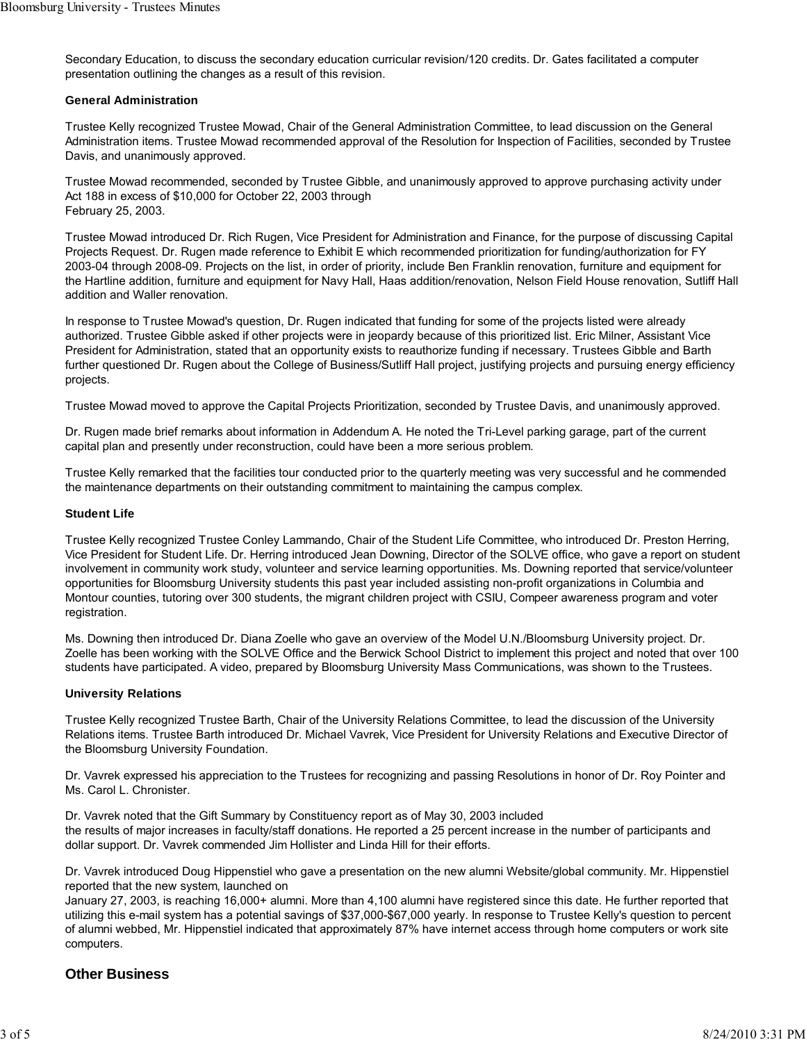Secondary Education, to discuss the secondary education curricular revision/120 credits. Dr. Gates facilitated a computer presentation outlining the changes as a result of this revision.

#### **General Administration**

Trustee Kelly recognized Trustee Mowad, Chair of the General Administration Committee, to lead discussion on the General Administration items. Trustee Mowad recommended approval of the Resolution for Inspection of Facilities, seconded by Trustee Davis, and unanimously approved.

Trustee Mowad recommended, seconded by Trustee Gibble, and unanimously approved to approve purchasing activity under Act 188 in excess of \$10,000 for October 22, 2003 through February 25, 2003.

Trustee Mowad introduced Dr. Rich Rugen, Vice President for Administration and Finance, for the purpose of discussing Capital Projects Request. Dr. Rugen made reference to Exhibit E which recommended prioritization for funding/authorization for FY 2003-04 through 2008-09. Projects on the list, in order of priority, include Ben Franklin renovation, furniture and equipment for the Hartline addition, furniture and equipment for Navy Hall, Haas addition/renovation, Nelson Field House renovation, Sutliff Hall addition and Waller renovation.

In response to Trustee Mowad's question, Dr. Rugen indicated that funding for some of the projects listed were already authorized. Trustee Gibble asked if other projects were in jeopardy because of this prioritized list. Eric Milner, Assistant Vice President for Administration, stated that an opportunity exists to reauthorize funding if necessary. Trustees Gibble and Barth further questioned Dr. Rugen about the College of Business/Sutliff Hall project, justifying projects and pursuing energy efficiency projects.

Trustee Mowad moved to approve the Capital Projects Prioritization, seconded by Trustee Davis, and unanimously approved.

Dr. Rugen made brief remarks about information in Addendum A. He noted the Tri-Level parking garage, part of the current capital plan and presently under reconstruction, could have been a more serious problem.

Trustee Kelly remarked that the facilities tour conducted prior to the quarterly meeting was very successful and he commended the maintenance departments on their outstanding commitment to maintaining the campus complex.

## **Student Life**

Trustee Kelly recognized Trustee Conley Lammando, Chair of the Student Life Committee, who introduced Dr. Preston Herring, Vice President for Student Life. Dr. Herring introduced Jean Downing, Director of the SOLVE office, who gave a report on student involvement in community work study, volunteer and service learning opportunities. Ms. Downing reported that service/volunteer opportunities for Bloomsburg University students this past year included assisting non-profit organizations in Columbia and Montour counties, tutoring over 300 students, the migrant children project with CSIU, Compeer awareness program and voter registration.

Ms. Downing then introduced Dr. Diana Zoelle who gave an overview of the Model U.N./Bloomsburg University project. Dr. Zoelle has been working with the SOLVE Office and the Berwick School District to implement this project and noted that over 100 students have participated. A video, prepared by Bloomsburg University Mass Communications, was shown to the Trustees.

#### **University Relations**

Trustee Kelly recognized Trustee Barth, Chair of the University Relations Committee, to lead the discussion of the University Relations items. Trustee Barth introduced Dr. Michael Vavrek, Vice President for University Relations and Executive Director of the Bloomsburg University Foundation.

Dr. Vavrek expressed his appreciation to the Trustees for recognizing and passing Resolutions in honor of Dr. Roy Pointer and Ms. Carol L. Chronister.

Dr. Vavrek noted that the Gift Summary by Constituency report as of May 30, 2003 included the results of major increases in faculty/staff donations. He reported a 25 percent increase in the number of participants and dollar support. Dr. Vavrek commended Jim Hollister and Linda Hill for their efforts.

Dr. Vavrek introduced Doug Hippenstiel who gave a presentation on the new alumni Website/global community. Mr. Hippenstiel reported that the new system, launched on

January 27, 2003, is reaching 16,000+ alumni. More than 4,100 alumni have registered since this date. He further reported that utilizing this e-mail system has a potential savings of \$37,000-\$67,000 yearly. In response to Trustee Kelly's question to percent of alumni webbed, Mr. Hippenstiel indicated that approximately 87% have internet access through home computers or work site computers.

# **Other Business**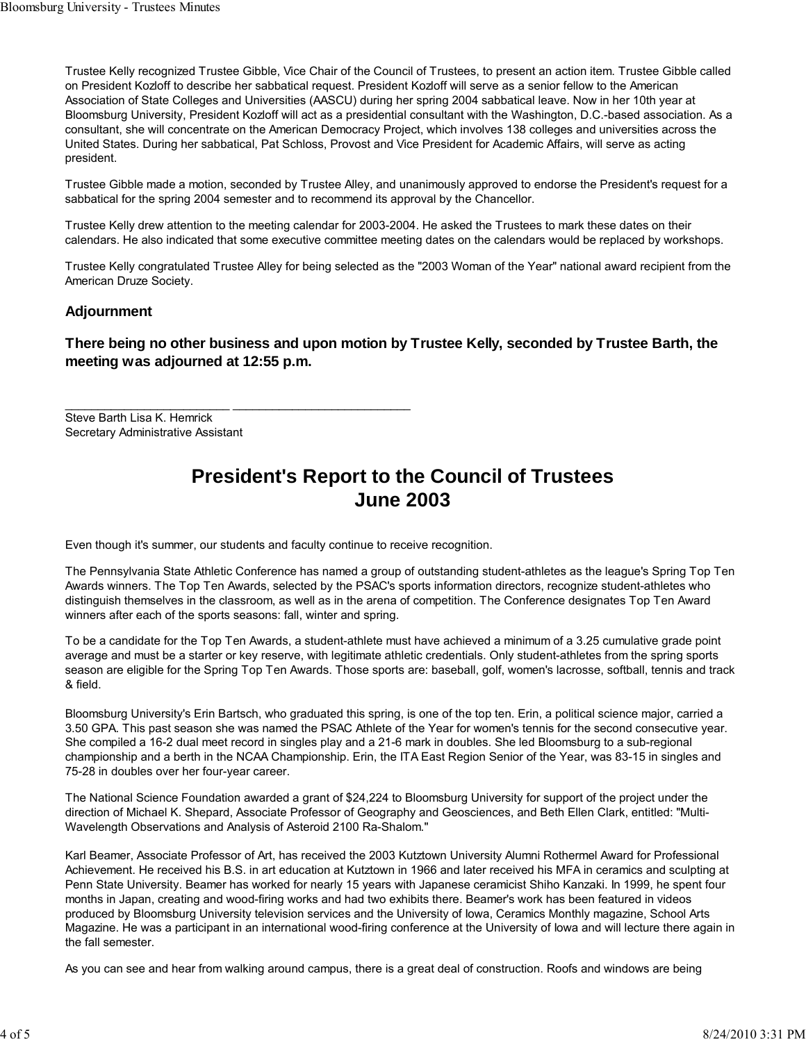Trustee Kelly recognized Trustee Gibble, Vice Chair of the Council of Trustees, to present an action item. Trustee Gibble called on President Kozloff to describe her sabbatical request. President Kozloff will serve as a senior fellow to the American Association of State Colleges and Universities (AASCU) during her spring 2004 sabbatical leave. Now in her 10th year at Bloomsburg University, President Kozloff will act as a presidential consultant with the Washington, D.C.-based association. As a consultant, she will concentrate on the American Democracy Project, which involves 138 colleges and universities across the United States. During her sabbatical, Pat Schloss, Provost and Vice President for Academic Affairs, will serve as acting president.

Trustee Gibble made a motion, seconded by Trustee Alley, and unanimously approved to endorse the President's request for a sabbatical for the spring 2004 semester and to recommend its approval by the Chancellor.

Trustee Kelly drew attention to the meeting calendar for 2003-2004. He asked the Trustees to mark these dates on their calendars. He also indicated that some executive committee meeting dates on the calendars would be replaced by workshops.

Trustee Kelly congratulated Trustee Alley for being selected as the "2003 Woman of the Year" national award recipient from the American Druze Society.

# **Adjournment**

**There being no other business and upon motion by Trustee Kelly, seconded by Trustee Barth, the meeting was adjourned at 12:55 p.m.**

Steve Barth Lisa K. Hemrick Secretary Administrative Assistant

# **President's Report to the Council of Trustees June 2003**

Even though it's summer, our students and faculty continue to receive recognition.

 $\_$  , and the set of the set of the set of the set of the set of the set of the set of the set of the set of the set of the set of the set of the set of the set of the set of the set of the set of the set of the set of th

The Pennsylvania State Athletic Conference has named a group of outstanding student-athletes as the league's Spring Top Ten Awards winners. The Top Ten Awards, selected by the PSAC's sports information directors, recognize student-athletes who distinguish themselves in the classroom, as well as in the arena of competition. The Conference designates Top Ten Award winners after each of the sports seasons: fall, winter and spring.

To be a candidate for the Top Ten Awards, a student-athlete must have achieved a minimum of a 3.25 cumulative grade point average and must be a starter or key reserve, with legitimate athletic credentials. Only student-athletes from the spring sports season are eligible for the Spring Top Ten Awards. Those sports are: baseball, golf, women's lacrosse, softball, tennis and track & field.

Bloomsburg University's Erin Bartsch, who graduated this spring, is one of the top ten. Erin, a political science major, carried a 3.50 GPA. This past season she was named the PSAC Athlete of the Year for women's tennis for the second consecutive year. She compiled a 16-2 dual meet record in singles play and a 21-6 mark in doubles. She led Bloomsburg to a sub-regional championship and a berth in the NCAA Championship. Erin, the ITA East Region Senior of the Year, was 83-15 in singles and 75-28 in doubles over her four-year career.

The National Science Foundation awarded a grant of \$24,224 to Bloomsburg University for support of the project under the direction of Michael K. Shepard, Associate Professor of Geography and Geosciences, and Beth Ellen Clark, entitled: "Multi-Wavelength Observations and Analysis of Asteroid 2100 Ra-Shalom."

Karl Beamer, Associate Professor of Art, has received the 2003 Kutztown University Alumni Rothermel Award for Professional Achievement. He received his B.S. in art education at Kutztown in 1966 and later received his MFA in ceramics and sculpting at Penn State University. Beamer has worked for nearly 15 years with Japanese ceramicist Shiho Kanzaki. In 1999, he spent four months in Japan, creating and wood-firing works and had two exhibits there. Beamer's work has been featured in videos produced by Bloomsburg University television services and the University of Iowa, Ceramics Monthly magazine, School Arts Magazine. He was a participant in an international wood-firing conference at the University of Iowa and will lecture there again in the fall semester.

As you can see and hear from walking around campus, there is a great deal of construction. Roofs and windows are being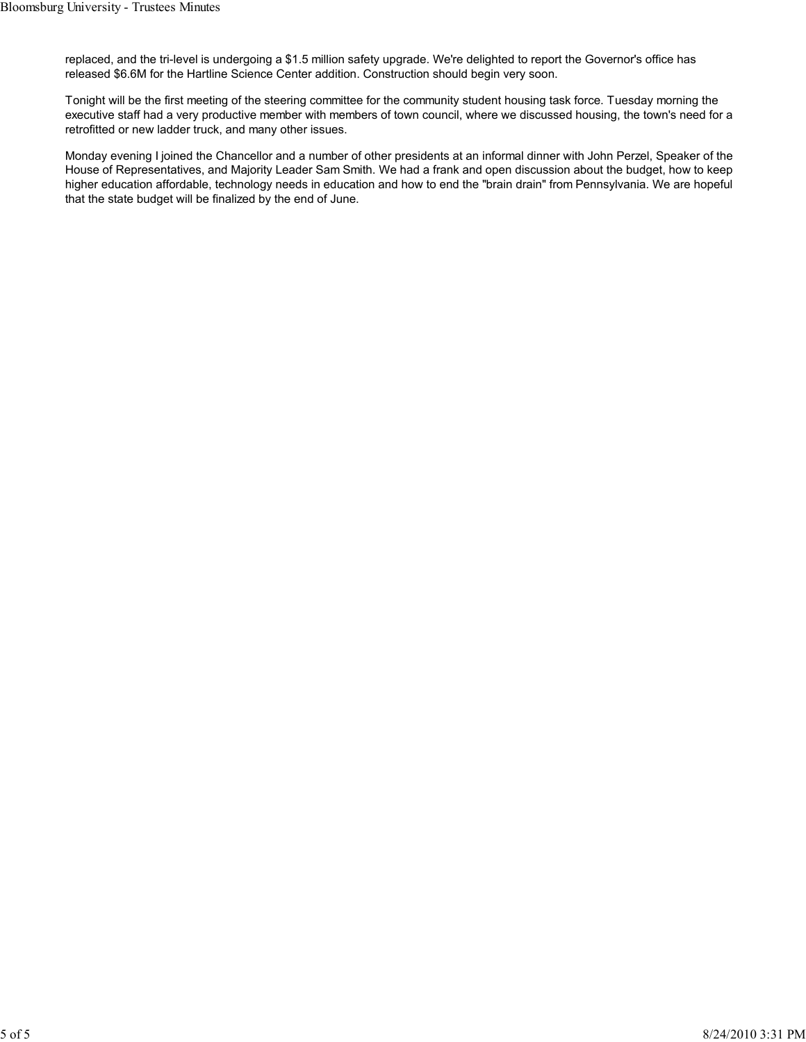replaced, and the tri-level is undergoing a \$1.5 million safety upgrade. We're delighted to report the Governor's office has released \$6.6M for the Hartline Science Center addition. Construction should begin very soon.

Tonight will be the first meeting of the steering committee for the community student housing task force. Tuesday morning the executive staff had a very productive member with members of town council, where we discussed housing, the town's need for a retrofitted or new ladder truck, and many other issues.

Monday evening I joined the Chancellor and a number of other presidents at an informal dinner with John Perzel, Speaker of the House of Representatives, and Majority Leader Sam Smith. We had a frank and open discussion about the budget, how to keep higher education affordable, technology needs in education and how to end the "brain drain" from Pennsylvania. We are hopeful that the state budget will be finalized by the end of June.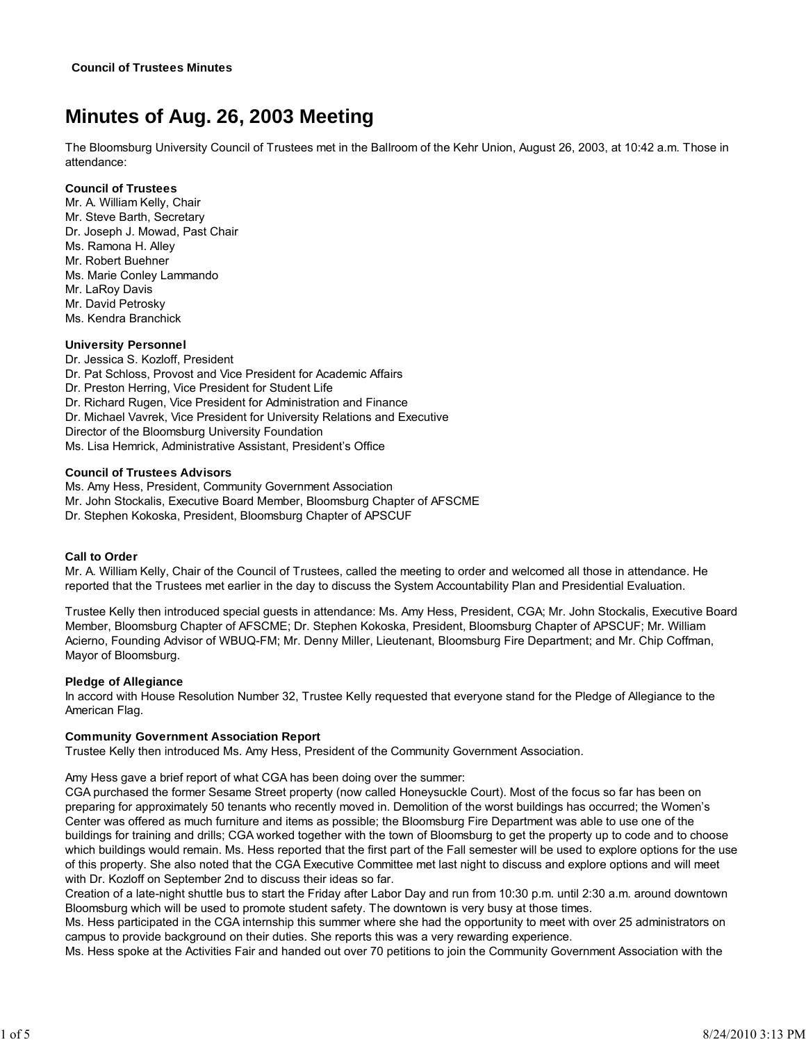# **Minutes of Aug. 26, 2003 Meeting**

The Bloomsburg University Council of Trustees met in the Ballroom of the Kehr Union, August 26, 2003, at 10:42 a.m. Those in attendance:

## **Council of Trustees**

Mr. A. William Kelly, Chair Mr. Steve Barth, Secretary Dr. Joseph J. Mowad, Past Chair Ms. Ramona H. Alley Mr. Robert Buehner Ms. Marie Conley Lammando Mr. LaRoy Davis Mr. David Petrosky Ms. Kendra Branchick

# **University Personnel**

Dr. Jessica S. Kozloff, President Dr. Pat Schloss, Provost and Vice President for Academic Affairs Dr. Preston Herring, Vice President for Student Life Dr. Richard Rugen, Vice President for Administration and Finance Dr. Michael Vavrek, Vice President for University Relations and Executive Director of the Bloomsburg University Foundation Ms. Lisa Hemrick, Administrative Assistant, President's Office

## **Council of Trustees Advisors**

Ms. Amy Hess, President, Community Government Association Mr. John Stockalis, Executive Board Member, Bloomsburg Chapter of AFSCME Dr. Stephen Kokoska, President, Bloomsburg Chapter of APSCUF

# **Call to Order**

Mr. A. William Kelly, Chair of the Council of Trustees, called the meeting to order and welcomed all those in attendance. He reported that the Trustees met earlier in the day to discuss the System Accountability Plan and Presidential Evaluation.

Trustee Kelly then introduced special guests in attendance: Ms. Amy Hess, President, CGA; Mr. John Stockalis, Executive Board Member, Bloomsburg Chapter of AFSCME; Dr. Stephen Kokoska, President, Bloomsburg Chapter of APSCUF; Mr. William Acierno, Founding Advisor of WBUQ-FM; Mr. Denny Miller, Lieutenant, Bloomsburg Fire Department; and Mr. Chip Coffman, Mayor of Bloomsburg.

# **Pledge of Allegiance**

In accord with House Resolution Number 32, Trustee Kelly requested that everyone stand for the Pledge of Allegiance to the American Flag.

# **Community Government Association Report**

Trustee Kelly then introduced Ms. Amy Hess, President of the Community Government Association.

Amy Hess gave a brief report of what CGA has been doing over the summer:

CGA purchased the former Sesame Street property (now called Honeysuckle Court). Most of the focus so far has been on preparing for approximately 50 tenants who recently moved in. Demolition of the worst buildings has occurred; the Women's Center was offered as much furniture and items as possible; the Bloomsburg Fire Department was able to use one of the buildings for training and drills; CGA worked together with the town of Bloomsburg to get the property up to code and to choose which buildings would remain. Ms. Hess reported that the first part of the Fall semester will be used to explore options for the use of this property. She also noted that the CGA Executive Committee met last night to discuss and explore options and will meet with Dr. Kozloff on September 2nd to discuss their ideas so far.

Creation of a late-night shuttle bus to start the Friday after Labor Day and run from 10:30 p.m. until 2:30 a.m. around downtown Bloomsburg which will be used to promote student safety. The downtown is very busy at those times.

Ms. Hess participated in the CGA internship this summer where she had the opportunity to meet with over 25 administrators on campus to provide background on their duties. She reports this was a very rewarding experience.

Ms. Hess spoke at the Activities Fair and handed out over 70 petitions to join the Community Government Association with the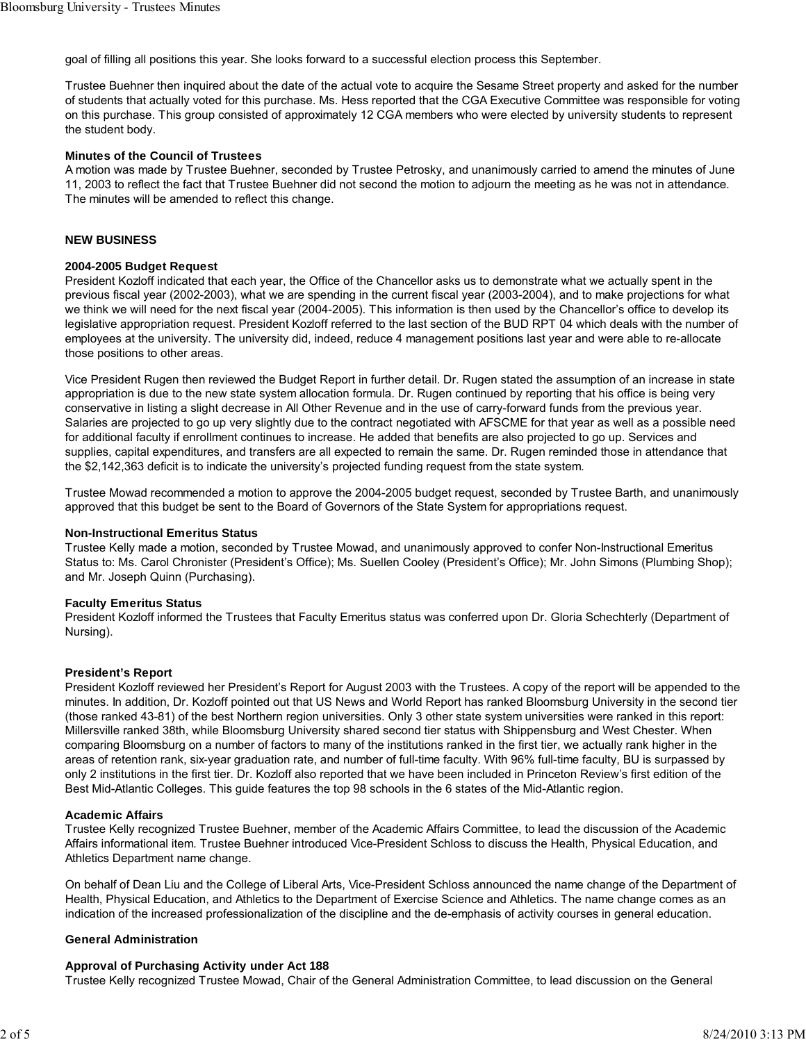goal of filling all positions this year. She looks forward to a successful election process this September.

Trustee Buehner then inquired about the date of the actual vote to acquire the Sesame Street property and asked for the number of students that actually voted for this purchase. Ms. Hess reported that the CGA Executive Committee was responsible for voting on this purchase. This group consisted of approximately 12 CGA members who were elected by university students to represent the student body.

#### **Minutes of the Council of Trustees**

A motion was made by Trustee Buehner, seconded by Trustee Petrosky, and unanimously carried to amend the minutes of June 11, 2003 to reflect the fact that Trustee Buehner did not second the motion to adjourn the meeting as he was not in attendance. The minutes will be amended to reflect this change.

#### **NEW BUSINESS**

#### **2004-2005 Budget Request**

President Kozloff indicated that each year, the Office of the Chancellor asks us to demonstrate what we actually spent in the previous fiscal year (2002-2003), what we are spending in the current fiscal year (2003-2004), and to make projections for what we think we will need for the next fiscal year (2004-2005). This information is then used by the Chancellor's office to develop its legislative appropriation request. President Kozloff referred to the last section of the BUD RPT 04 which deals with the number of employees at the university. The university did, indeed, reduce 4 management positions last year and were able to re-allocate those positions to other areas.

Vice President Rugen then reviewed the Budget Report in further detail. Dr. Rugen stated the assumption of an increase in state appropriation is due to the new state system allocation formula. Dr. Rugen continued by reporting that his office is being very conservative in listing a slight decrease in All Other Revenue and in the use of carry-forward funds from the previous year. Salaries are projected to go up very slightly due to the contract negotiated with AFSCME for that year as well as a possible need for additional faculty if enrollment continues to increase. He added that benefits are also projected to go up. Services and supplies, capital expenditures, and transfers are all expected to remain the same. Dr. Rugen reminded those in attendance that the \$2,142,363 deficit is to indicate the university's projected funding request from the state system.

Trustee Mowad recommended a motion to approve the 2004-2005 budget request, seconded by Trustee Barth, and unanimously approved that this budget be sent to the Board of Governors of the State System for appropriations request.

#### **Non-Instructional Emeritus Status**

Trustee Kelly made a motion, seconded by Trustee Mowad, and unanimously approved to confer Non-Instructional Emeritus Status to: Ms. Carol Chronister (President's Office); Ms. Suellen Cooley (President's Office); Mr. John Simons (Plumbing Shop); and Mr. Joseph Quinn (Purchasing).

#### **Faculty Emeritus Status**

President Kozloff informed the Trustees that Faculty Emeritus status was conferred upon Dr. Gloria Schechterly (Department of Nursing).

#### **President's Report**

President Kozloff reviewed her President's Report for August 2003 with the Trustees. A copy of the report will be appended to the minutes. In addition, Dr. Kozloff pointed out that US News and World Report has ranked Bloomsburg University in the second tier (those ranked 43-81) of the best Northern region universities. Only 3 other state system universities were ranked in this report: Millersville ranked 38th, while Bloomsburg University shared second tier status with Shippensburg and West Chester. When comparing Bloomsburg on a number of factors to many of the institutions ranked in the first tier, we actually rank higher in the areas of retention rank, six-year graduation rate, and number of full-time faculty. With 96% full-time faculty, BU is surpassed by only 2 institutions in the first tier. Dr. Kozloff also reported that we have been included in Princeton Review's first edition of the Best Mid-Atlantic Colleges. This guide features the top 98 schools in the 6 states of the Mid-Atlantic region.

#### **Academic Affairs**

Trustee Kelly recognized Trustee Buehner, member of the Academic Affairs Committee, to lead the discussion of the Academic Affairs informational item. Trustee Buehner introduced Vice-President Schloss to discuss the Health, Physical Education, and Athletics Department name change.

On behalf of Dean Liu and the College of Liberal Arts, Vice-President Schloss announced the name change of the Department of Health, Physical Education, and Athletics to the Department of Exercise Science and Athletics. The name change comes as an indication of the increased professionalization of the discipline and the de-emphasis of activity courses in general education.

#### **General Administration**

#### **Approval of Purchasing Activity under Act 188**

Trustee Kelly recognized Trustee Mowad, Chair of the General Administration Committee, to lead discussion on the General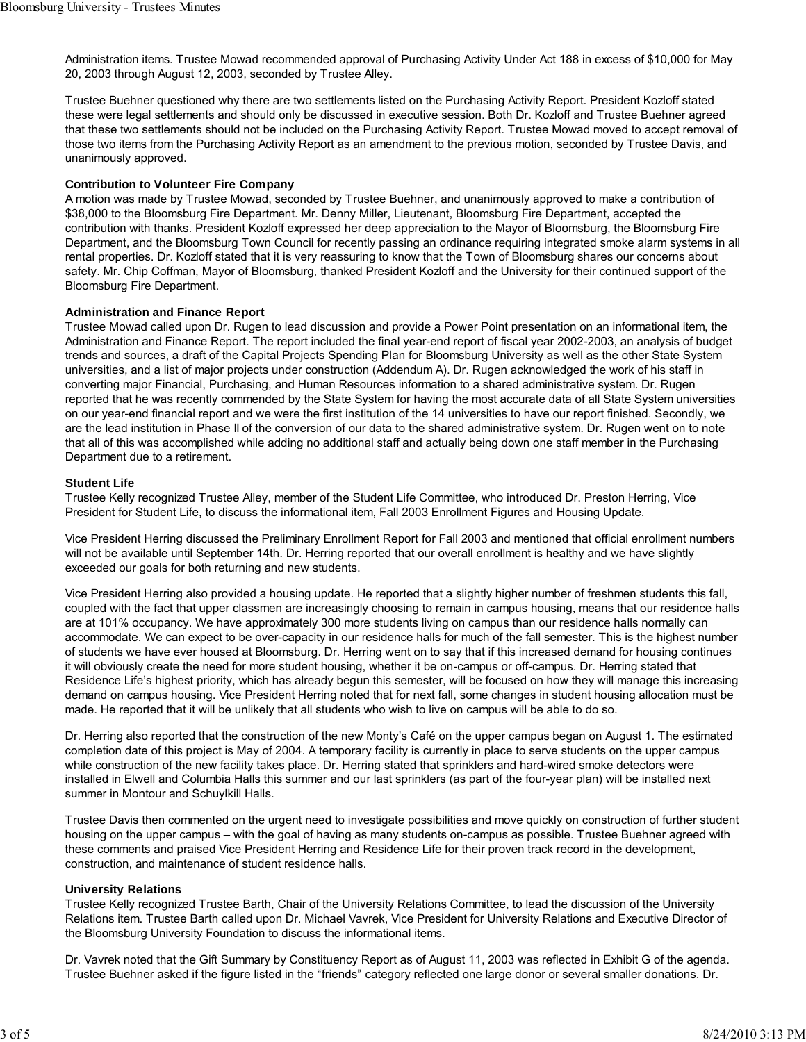Administration items. Trustee Mowad recommended approval of Purchasing Activity Under Act 188 in excess of \$10,000 for May 20, 2003 through August 12, 2003, seconded by Trustee Alley.

Trustee Buehner questioned why there are two settlements listed on the Purchasing Activity Report. President Kozloff stated these were legal settlements and should only be discussed in executive session. Both Dr. Kozloff and Trustee Buehner agreed that these two settlements should not be included on the Purchasing Activity Report. Trustee Mowad moved to accept removal of those two items from the Purchasing Activity Report as an amendment to the previous motion, seconded by Trustee Davis, and unanimously approved.

## **Contribution to Volunteer Fire Company**

A motion was made by Trustee Mowad, seconded by Trustee Buehner, and unanimously approved to make a contribution of \$38,000 to the Bloomsburg Fire Department. Mr. Denny Miller, Lieutenant, Bloomsburg Fire Department, accepted the contribution with thanks. President Kozloff expressed her deep appreciation to the Mayor of Bloomsburg, the Bloomsburg Fire Department, and the Bloomsburg Town Council for recently passing an ordinance requiring integrated smoke alarm systems in all rental properties. Dr. Kozloff stated that it is very reassuring to know that the Town of Bloomsburg shares our concerns about safety. Mr. Chip Coffman, Mayor of Bloomsburg, thanked President Kozloff and the University for their continued support of the Bloomsburg Fire Department.

## **Administration and Finance Report**

Trustee Mowad called upon Dr. Rugen to lead discussion and provide a Power Point presentation on an informational item, the Administration and Finance Report. The report included the final year-end report of fiscal year 2002-2003, an analysis of budget trends and sources, a draft of the Capital Projects Spending Plan for Bloomsburg University as well as the other State System universities, and a list of major projects under construction (Addendum A). Dr. Rugen acknowledged the work of his staff in converting major Financial, Purchasing, and Human Resources information to a shared administrative system. Dr. Rugen reported that he was recently commended by the State System for having the most accurate data of all State System universities on our year-end financial report and we were the first institution of the 14 universities to have our report finished. Secondly, we are the lead institution in Phase II of the conversion of our data to the shared administrative system. Dr. Rugen went on to note that all of this was accomplished while adding no additional staff and actually being down one staff member in the Purchasing Department due to a retirement.

#### **Student Life**

Trustee Kelly recognized Trustee Alley, member of the Student Life Committee, who introduced Dr. Preston Herring, Vice President for Student Life, to discuss the informational item, Fall 2003 Enrollment Figures and Housing Update.

Vice President Herring discussed the Preliminary Enrollment Report for Fall 2003 and mentioned that official enrollment numbers will not be available until September 14th. Dr. Herring reported that our overall enrollment is healthy and we have slightly exceeded our goals for both returning and new students.

Vice President Herring also provided a housing update. He reported that a slightly higher number of freshmen students this fall, coupled with the fact that upper classmen are increasingly choosing to remain in campus housing, means that our residence halls are at 101% occupancy. We have approximately 300 more students living on campus than our residence halls normally can accommodate. We can expect to be over-capacity in our residence halls for much of the fall semester. This is the highest number of students we have ever housed at Bloomsburg. Dr. Herring went on to say that if this increased demand for housing continues it will obviously create the need for more student housing, whether it be on-campus or off-campus. Dr. Herring stated that Residence Life's highest priority, which has already begun this semester, will be focused on how they will manage this increasing demand on campus housing. Vice President Herring noted that for next fall, some changes in student housing allocation must be made. He reported that it will be unlikely that all students who wish to live on campus will be able to do so.

Dr. Herring also reported that the construction of the new Monty's Café on the upper campus began on August 1. The estimated completion date of this project is May of 2004. A temporary facility is currently in place to serve students on the upper campus while construction of the new facility takes place. Dr. Herring stated that sprinklers and hard-wired smoke detectors were installed in Elwell and Columbia Halls this summer and our last sprinklers (as part of the four-year plan) will be installed next summer in Montour and Schuylkill Halls.

Trustee Davis then commented on the urgent need to investigate possibilities and move quickly on construction of further student housing on the upper campus – with the goal of having as many students on-campus as possible. Trustee Buehner agreed with these comments and praised Vice President Herring and Residence Life for their proven track record in the development, construction, and maintenance of student residence halls.

#### **University Relations**

Trustee Kelly recognized Trustee Barth, Chair of the University Relations Committee, to lead the discussion of the University Relations item. Trustee Barth called upon Dr. Michael Vavrek, Vice President for University Relations and Executive Director of the Bloomsburg University Foundation to discuss the informational items.

Dr. Vavrek noted that the Gift Summary by Constituency Report as of August 11, 2003 was reflected in Exhibit G of the agenda. Trustee Buehner asked if the figure listed in the "friends" category reflected one large donor or several smaller donations. Dr.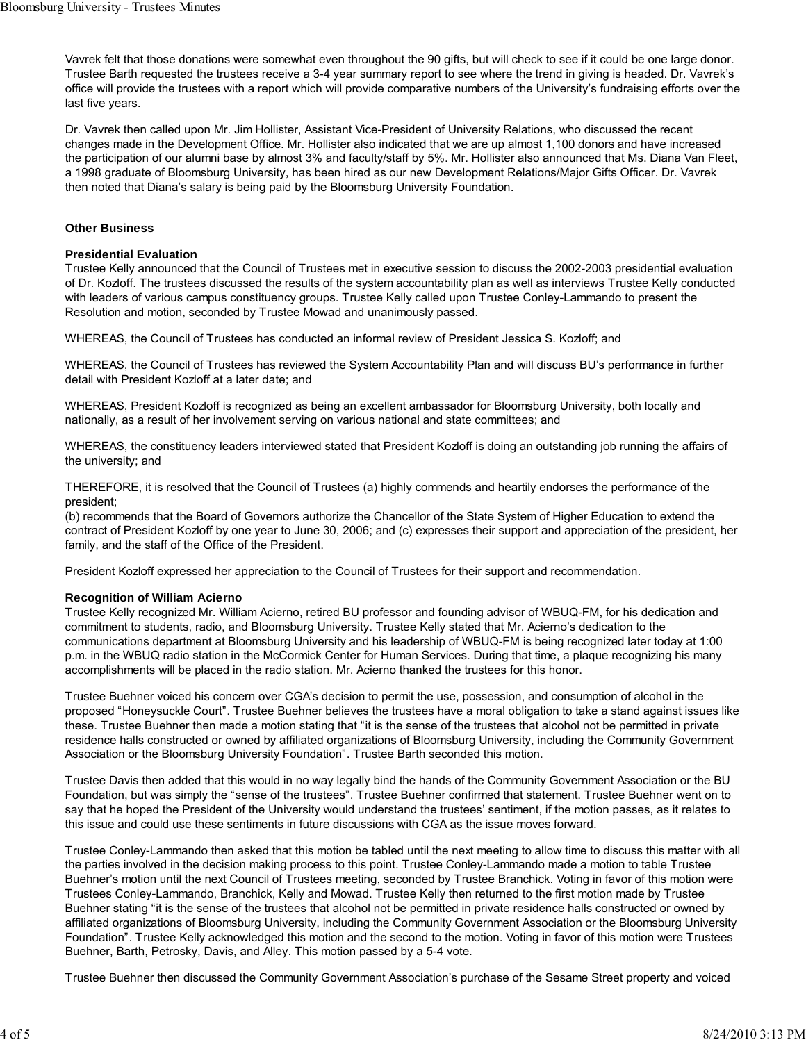Vavrek felt that those donations were somewhat even throughout the 90 gifts, but will check to see if it could be one large donor. Trustee Barth requested the trustees receive a 3-4 year summary report to see where the trend in giving is headed. Dr. Vavrek's office will provide the trustees with a report which will provide comparative numbers of the University's fundraising efforts over the last five years.

Dr. Vavrek then called upon Mr. Jim Hollister, Assistant Vice-President of University Relations, who discussed the recent changes made in the Development Office. Mr. Hollister also indicated that we are up almost 1,100 donors and have increased the participation of our alumni base by almost 3% and faculty/staff by 5%. Mr. Hollister also announced that Ms. Diana Van Fleet, a 1998 graduate of Bloomsburg University, has been hired as our new Development Relations/Major Gifts Officer. Dr. Vavrek then noted that Diana's salary is being paid by the Bloomsburg University Foundation.

## **Other Business**

## **Presidential Evaluation**

Trustee Kelly announced that the Council of Trustees met in executive session to discuss the 2002-2003 presidential evaluation of Dr. Kozloff. The trustees discussed the results of the system accountability plan as well as interviews Trustee Kelly conducted with leaders of various campus constituency groups. Trustee Kelly called upon Trustee Conley-Lammando to present the Resolution and motion, seconded by Trustee Mowad and unanimously passed.

WHEREAS, the Council of Trustees has conducted an informal review of President Jessica S. Kozloff; and

WHEREAS, the Council of Trustees has reviewed the System Accountability Plan and will discuss BU's performance in further detail with President Kozloff at a later date; and

WHEREAS, President Kozloff is recognized as being an excellent ambassador for Bloomsburg University, both locally and nationally, as a result of her involvement serving on various national and state committees; and

WHEREAS, the constituency leaders interviewed stated that President Kozloff is doing an outstanding job running the affairs of the university; and

THEREFORE, it is resolved that the Council of Trustees (a) highly commends and heartily endorses the performance of the president;

(b) recommends that the Board of Governors authorize the Chancellor of the State System of Higher Education to extend the contract of President Kozloff by one year to June 30, 2006; and (c) expresses their support and appreciation of the president, her family, and the staff of the Office of the President.

President Kozloff expressed her appreciation to the Council of Trustees for their support and recommendation.

# **Recognition of William Acierno**

Trustee Kelly recognized Mr. William Acierno, retired BU professor and founding advisor of WBUQ-FM, for his dedication and commitment to students, radio, and Bloomsburg University. Trustee Kelly stated that Mr. Acierno's dedication to the communications department at Bloomsburg University and his leadership of WBUQ-FM is being recognized later today at 1:00 p.m. in the WBUQ radio station in the McCormick Center for Human Services. During that time, a plaque recognizing his many accomplishments will be placed in the radio station. Mr. Acierno thanked the trustees for this honor.

Trustee Buehner voiced his concern over CGA's decision to permit the use, possession, and consumption of alcohol in the proposed "Honeysuckle Court". Trustee Buehner believes the trustees have a moral obligation to take a stand against issues like these. Trustee Buehner then made a motion stating that "it is the sense of the trustees that alcohol not be permitted in private residence halls constructed or owned by affiliated organizations of Bloomsburg University, including the Community Government Association or the Bloomsburg University Foundation". Trustee Barth seconded this motion.

Trustee Davis then added that this would in no way legally bind the hands of the Community Government Association or the BU Foundation, but was simply the "sense of the trustees". Trustee Buehner confirmed that statement. Trustee Buehner went on to say that he hoped the President of the University would understand the trustees' sentiment, if the motion passes, as it relates to this issue and could use these sentiments in future discussions with CGA as the issue moves forward.

Trustee Conley-Lammando then asked that this motion be tabled until the next meeting to allow time to discuss this matter with all the parties involved in the decision making process to this point. Trustee Conley-Lammando made a motion to table Trustee Buehner's motion until the next Council of Trustees meeting, seconded by Trustee Branchick. Voting in favor of this motion were Trustees Conley-Lammando, Branchick, Kelly and Mowad. Trustee Kelly then returned to the first motion made by Trustee Buehner stating "it is the sense of the trustees that alcohol not be permitted in private residence halls constructed or owned by affiliated organizations of Bloomsburg University, including the Community Government Association or the Bloomsburg University Foundation". Trustee Kelly acknowledged this motion and the second to the motion. Voting in favor of this motion were Trustees Buehner, Barth, Petrosky, Davis, and Alley. This motion passed by a 5-4 vote.

Trustee Buehner then discussed the Community Government Association's purchase of the Sesame Street property and voiced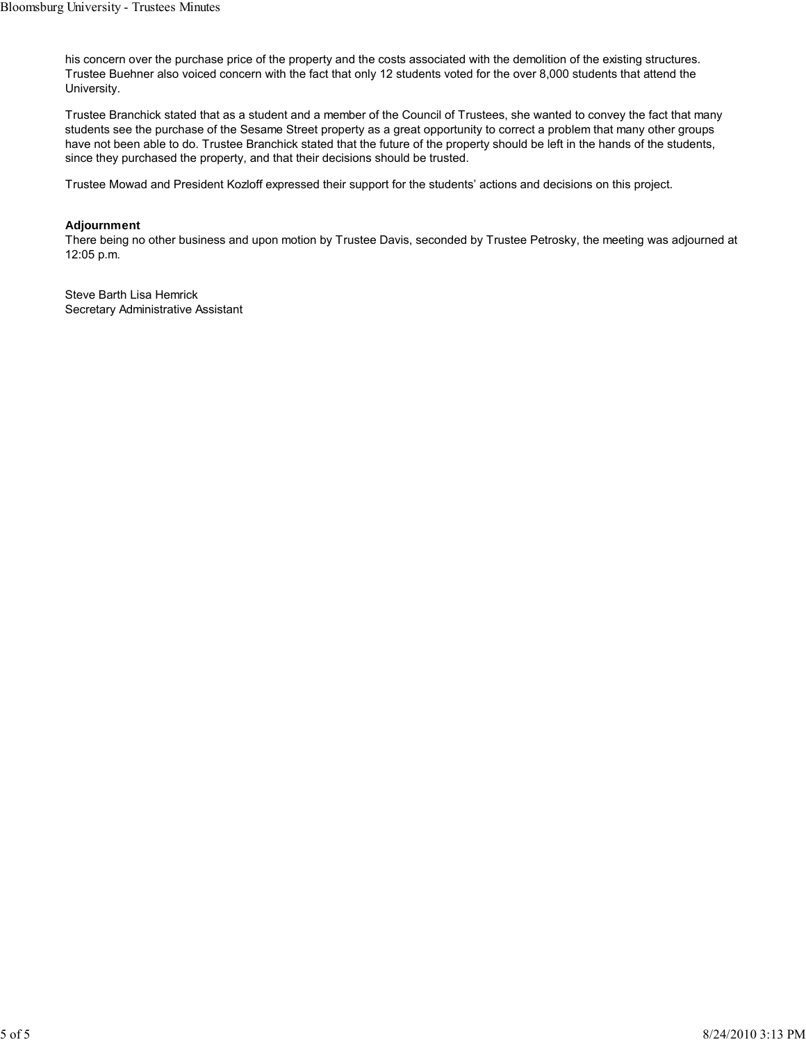his concern over the purchase price of the property and the costs associated with the demolition of the existing structures. Trustee Buehner also voiced concern with the fact that only 12 students voted for the over 8,000 students that attend the University.

Trustee Branchick stated that as a student and a member of the Council of Trustees, she wanted to convey the fact that many students see the purchase of the Sesame Street property as a great opportunity to correct a problem that many other groups have not been able to do. Trustee Branchick stated that the future of the property should be left in the hands of the students, since they purchased the property, and that their decisions should be trusted.

Trustee Mowad and President Kozloff expressed their support for the students' actions and decisions on this project.

## **Adjournment**

There being no other business and upon motion by Trustee Davis, seconded by Trustee Petrosky, the meeting was adjourned at 12:05 p.m.

Steve Barth Lisa Hemrick Secretary Administrative Assistant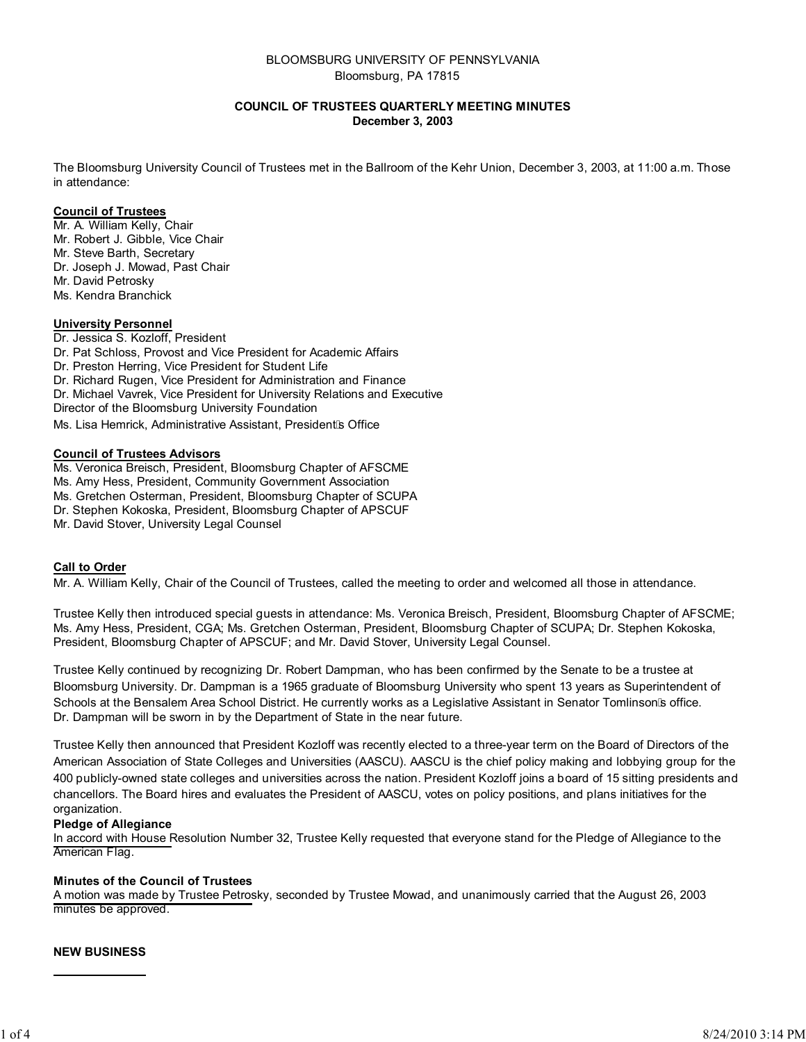# BLOOMSBURG UNIVERSITY OF PENNSYLVANIA Bloomsburg, PA 17815

## **COUNCIL OF TRUSTEES QUARTERLY MEETING MINUTES December 3, 2003**

The Bloomsburg University Council of Trustees met in the Ballroom of the Kehr Union, December 3, 2003, at 11:00 a.m. Those in attendance:

### **Council of Trustees**

Mr. A. William Kelly, Chair Mr. Robert J. Gibble, Vice Chair Mr. Steve Barth, Secretary Dr. Joseph J. Mowad, Past Chair Mr. David Petrosky Ms. Kendra Branchick

#### **University Personnel**

Dr. Jessica S. Kozloff, President Dr. Pat Schloss, Provost and Vice President for Academic Affairs Dr. Preston Herring, Vice President for Student Life Dr. Richard Rugen, Vice President for Administration and Finance Dr. Michael Vavrek, Vice President for University Relations and Executive Director of the Bloomsburg University Foundation

Ms. Lisa Hemrick, Administrative Assistant, President s Office

#### **Council of Trustees Advisors**

Ms. Veronica Breisch, President, Bloomsburg Chapter of AFSCME

Ms. Amy Hess, President, Community Government Association

Ms. Gretchen Osterman, President, Bloomsburg Chapter of SCUPA

Dr. Stephen Kokoska, President, Bloomsburg Chapter of APSCUF

Mr. David Stover, University Legal Counsel

# **Call to Order**

Mr. A. William Kelly, Chair of the Council of Trustees, called the meeting to order and welcomed all those in attendance.

Trustee Kelly then introduced special guests in attendance: Ms. Veronica Breisch, President, Bloomsburg Chapter of AFSCME; Ms. Amy Hess, President, CGA; Ms. Gretchen Osterman, President, Bloomsburg Chapter of SCUPA; Dr. Stephen Kokoska, President, Bloomsburg Chapter of APSCUF; and Mr. David Stover, University Legal Counsel.

Trustee Kelly continued by recognizing Dr. Robert Dampman, who has been confirmed by the Senate to be a trustee at Bloomsburg University. Dr. Dampman is a 1965 graduate of Bloomsburg University who spent 13 years as Superintendent of Schools at the Bensalem Area School District. He currently works as a Legislative Assistant in Senator Tomlinson s office. Dr. Dampman will be sworn in by the Department of State in the near future.

Trustee Kelly then announced that President Kozloff was recently elected to a three-year term on the Board of Directors of the American Association of State Colleges and Universities (AASCU). AASCU is the chief policy making and lobbying group for the 400 publicly-owned state colleges and universities across the nation. President Kozloff joins a board of 15 sitting presidents and chancellors. The Board hires and evaluates the President of AASCU, votes on policy positions, and plans initiatives for the organization.

#### **Pledge of Allegiance**

In accord with House Resolution Number 32, Trustee Kelly requested that everyone stand for the Pledge of Allegiance to the American Flag.

#### **Minutes of the Council of Trustees**

A motion was made by Trustee Petrosky, seconded by Trustee Mowad, and unanimously carried that the August 26, 2003 minutes be approved.

#### **NEW BUSINESS**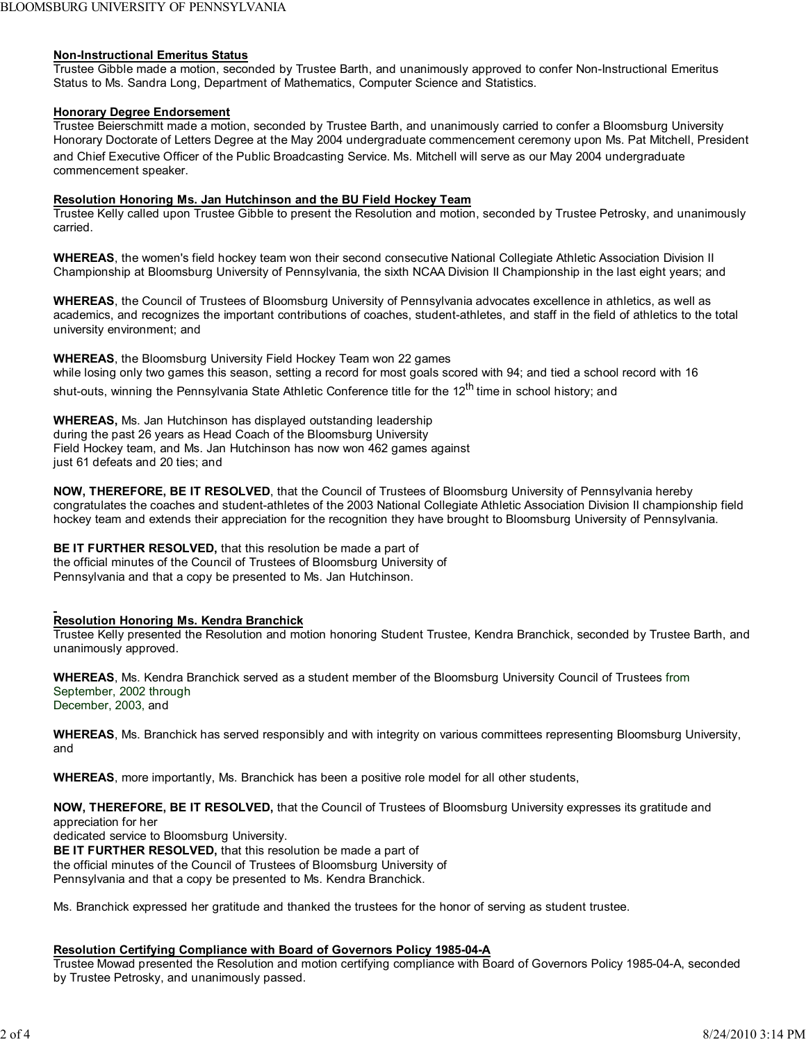#### **Non-Instructional Emeritus Status**

Trustee Gibble made a motion, seconded by Trustee Barth, and unanimously approved to confer Non-Instructional Emeritus Status to Ms. Sandra Long, Department of Mathematics, Computer Science and Statistics.

## **Honorary Degree Endorsement**

Trustee Beierschmitt made a motion, seconded by Trustee Barth, and unanimously carried to confer a Bloomsburg University Honorary Doctorate of Letters Degree at the May 2004 undergraduate commencement ceremony upon Ms. Pat Mitchell, President and Chief Executive Officer of the Public Broadcasting Service. Ms. Mitchell will serve as our May 2004 undergraduate commencement speaker.

#### **Resolution Honoring Ms. Jan Hutchinson and the BU Field Hockey Team**

Trustee Kelly called upon Trustee Gibble to present the Resolution and motion, seconded by Trustee Petrosky, and unanimously carried.

**WHEREAS**, the women's field hockey team won their second consecutive National Collegiate Athletic Association Division II Championship at Bloomsburg University of Pennsylvania, the sixth NCAA Division II Championship in the last eight years; and

**WHEREAS**, the Council of Trustees of Bloomsburg University of Pennsylvania advocates excellence in athletics, as well as academics, and recognizes the important contributions of coaches, student-athletes, and staff in the field of athletics to the total university environment; and

**WHEREAS**, the Bloomsburg University Field Hockey Team won 22 games while losing only two games this season, setting a record for most goals scored with 94; and tied a school record with 16 shut-outs, winning the Pennsylvania State Athletic Conference title for the 12<sup>th</sup> time in school history; and

**WHEREAS,** Ms. Jan Hutchinson has displayed outstanding leadership during the past 26 years as Head Coach of the Bloomsburg University Field Hockey team, and Ms. Jan Hutchinson has now won 462 games against just 61 defeats and 20 ties; and

**NOW, THEREFORE, BE IT RESOLVED**, that the Council of Trustees of Bloomsburg University of Pennsylvania hereby congratulates the coaches and student-athletes of the 2003 National Collegiate Athletic Association Division II championship field hockey team and extends their appreciation for the recognition they have brought to Bloomsburg University of Pennsylvania.

**BE IT FURTHER RESOLVED,** that this resolution be made a part of the official minutes of the Council of Trustees of Bloomsburg University of Pennsylvania and that a copy be presented to Ms. Jan Hutchinson.

#### **Resolution Honoring Ms. Kendra Branchick**

Trustee Kelly presented the Resolution and motion honoring Student Trustee, Kendra Branchick, seconded by Trustee Barth, and unanimously approved.

**WHEREAS**, Ms. Kendra Branchick served as a student member of the Bloomsburg University Council of Trustees from September, 2002 through December, 2003, and

**WHEREAS**, Ms. Branchick has served responsibly and with integrity on various committees representing Bloomsburg University, and

**WHEREAS**, more importantly, Ms. Branchick has been a positive role model for all other students,

**NOW, THEREFORE, BE IT RESOLVED,** that the Council of Trustees of Bloomsburg University expresses its gratitude and appreciation for her

dedicated service to Bloomsburg University.

**BE IT FURTHER RESOLVED,** that this resolution be made a part of the official minutes of the Council of Trustees of Bloomsburg University of Pennsylvania and that a copy be presented to Ms. Kendra Branchick.

Ms. Branchick expressed her gratitude and thanked the trustees for the honor of serving as student trustee.

## **Resolution Certifying Compliance with Board of Governors Policy 1985-04-A**

Trustee Mowad presented the Resolution and motion certifying compliance with Board of Governors Policy 1985-04-A, seconded by Trustee Petrosky, and unanimously passed.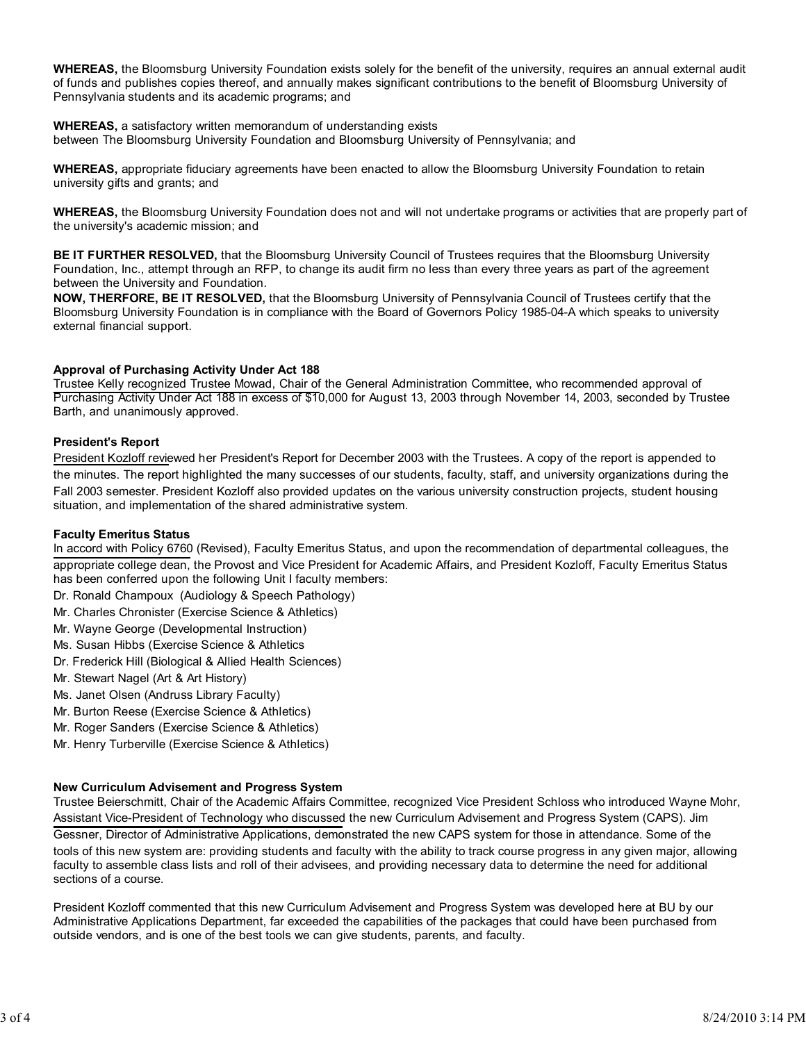**WHEREAS,** the Bloomsburg University Foundation exists solely for the benefit of the university, requires an annual external audit of funds and publishes copies thereof, and annually makes significant contributions to the benefit of Bloomsburg University of Pennsylvania students and its academic programs; and

**WHEREAS,** a satisfactory written memorandum of understanding exists between The Bloomsburg University Foundation and Bloomsburg University of Pennsylvania; and

**WHEREAS,** appropriate fiduciary agreements have been enacted to allow the Bloomsburg University Foundation to retain university gifts and grants; and

**WHEREAS,** the Bloomsburg University Foundation does not and will not undertake programs or activities that are properly part of the university's academic mission; and

**BE IT FURTHER RESOLVED,** that the Bloomsburg University Council of Trustees requires that the Bloomsburg University Foundation, Inc., attempt through an RFP, to change its audit firm no less than every three years as part of the agreement between the University and Foundation.

**NOW, THERFORE, BE IT RESOLVED,** that the Bloomsburg University of Pennsylvania Council of Trustees certify that the Bloomsburg University Foundation is in compliance with the Board of Governors Policy 1985-04-A which speaks to university external financial support.

## **Approval of Purchasing Activity Under Act 188**

Trustee Kelly recognized Trustee Mowad, Chair of the General Administration Committee, who recommended approval of Purchasing Activity Under Act 188 in excess of \$10,000 for August 13, 2003 through November 14, 2003, seconded by Trustee Barth, and unanimously approved.

## **President**'**s Report**

President Kozloff reviewed her President's Report for December 2003 with the Trustees. A copy of the report is appended to the minutes. The report highlighted the many successes of our students, faculty, staff, and university organizations during the Fall 2003 semester. President Kozloff also provided updates on the various university construction projects, student housing situation, and implementation of the shared administrative system.

#### **Faculty Emeritus Status**

In accord with Policy 6760 (Revised), Faculty Emeritus Status, and upon the recommendation of departmental colleagues, the appropriate college dean, the Provost and Vice President for Academic Affairs, and President Kozloff, Faculty Emeritus Status has been conferred upon the following Unit I faculty members:

- Dr. Ronald Champoux (Audiology & Speech Pathology)
- Mr. Charles Chronister (Exercise Science & Athletics)
- Mr. Wayne George (Developmental Instruction)
- Ms. Susan Hibbs (Exercise Science & Athletics
- Dr. Frederick Hill (Biological & Allied Health Sciences)
- Mr. Stewart Nagel (Art & Art History)
- Ms. Janet Olsen (Andruss Library Faculty)
- Mr. Burton Reese (Exercise Science & Athletics)
- Mr. Roger Sanders (Exercise Science & Athletics)
- Mr. Henry Turberville (Exercise Science & Athletics)

#### **New Curriculum Advisement and Progress System**

Trustee Beierschmitt, Chair of the Academic Affairs Committee, recognized Vice President Schloss who introduced Wayne Mohr, Assistant Vice-President of Technology who discussed the new Curriculum Advisement and Progress System (CAPS). Jim Gessner, Director of Administrative Applications, demonstrated the new CAPS system for those in attendance. Some of the tools of this new system are: providing students and faculty with the ability to track course progress in any given major, allowing faculty to assemble class lists and roll of their advisees, and providing necessary data to determine the need for additional sections of a course.

President Kozloff commented that this new Curriculum Advisement and Progress System was developed here at BU by our Administrative Applications Department, far exceeded the capabilities of the packages that could have been purchased from outside vendors, and is one of the best tools we can give students, parents, and faculty.